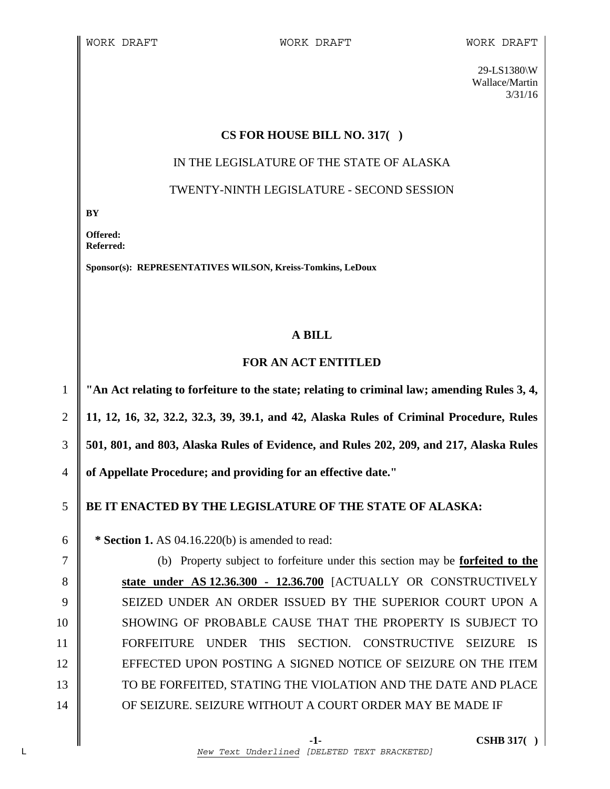29-LS1380\W Wallace/Martin 3/31/16

#### **CS FOR HOUSE BILL NO. 317( )**

# IN THE LEGISLATURE OF THE STATE OF ALASKA

### TWENTY-NINTH LEGISLATURE - SECOND SESSION

**BY** 

**Offered: Referred:** 

**Sponsor(s): REPRESENTATIVES WILSON, Kreiss-Tomkins, LeDoux** 

### **A BILL**

## **FOR AN ACT ENTITLED**

**"An Act relating to forfeiture to the state; relating to criminal law; amending Rules 3, 4, 11, 12, 16, 32, 32.2, 32.3, 39, 39.1, and 42, Alaska Rules of Criminal Procedure, Rules 501, 801, and 803, Alaska Rules of Evidence, and Rules 202, 209, and 217, Alaska Rules of Appellate Procedure; and providing for an effective date."** 

## 5 **BE IT ENACTED BY THE LEGISLATURE OF THE STATE OF ALASKA:**

6 **\* Section 1.** AS 04.16.220(b) is amended to read:

7 (b) Property subject to forfeiture under this section may be **forfeited to the**  8 **S** state under AS 12.36.300 - 12.36.700 [ACTUALLY OR CONSTRUCTIVELY 9 SEIZED UNDER AN ORDER ISSUED BY THE SUPERIOR COURT UPON A 10 || SHOWING OF PROBABLE CAUSE THAT THE PROPERTY IS SUBJECT TO 11 FORFEITURE UNDER THIS SECTION. CONSTRUCTIVE SEIZURE IS 12 EFFECTED UPON POSTING A SIGNED NOTICE OF SEIZURE ON THE ITEM 13 TO BE FORFEITED, STATING THE VIOLATION AND THE DATE AND PLACE 14 OF SEIZURE. SEIZURE WITHOUT A COURT ORDER MAY BE MADE IF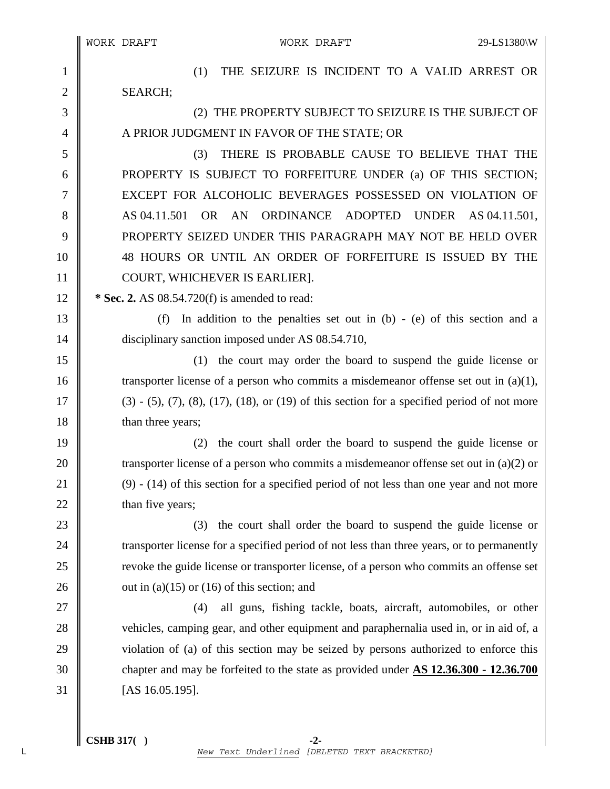1 || (1) THE SEIZURE IS INCIDENT TO A VALID ARREST OR 2 SEARCH; 3 (2) THE PROPERTY SUBJECT TO SEIZURE IS THE SUBJECT OF 4 A PRIOR JUDGMENT IN FAVOR OF THE STATE; OR 5 (3) THERE IS PROBABLE CAUSE TO BELIEVE THAT THE 6 **PROPERTY IS SUBJECT TO FORFEITURE UNDER** (a) OF THIS SECTION; 7 EXCEPT FOR ALCOHOLIC BEVERAGES POSSESSED ON VIOLATION OF 8 AS 04.11.501 OR AN ORDINANCE ADOPTED UNDER AS 04.11.501, 9 PROPERTY SEIZED UNDER THIS PARAGRAPH MAY NOT BE HELD OVER 10 48 HOURS OR UNTIL AN ORDER OF FORFEITURE IS ISSUED BY THE 11 COURT, WHICHEVER IS EARLIER]. 12 **\* Sec. 2.** AS 08.54.720(f) is amended to read: 13 (f) In addition to the penalties set out in (b) - (e) of this section and a 14 disciplinary sanction imposed under AS 08.54.710, 15 (1) the court may order the board to suspend the guide license or 16 transporter license of a person who commits a misdemeanor offense set out in  $(a)(1)$ ,  $17 \parallel$  (3) - (5), (7), (8), (17), (18), or (19) of this section for a specified period of not more 18 **han three years**; 19 (2) the court shall order the board to suspend the guide license or 20 transporter license of a person who commits a misdemeanor offense set out in (a)(2) or 21  $\parallel$  (9) - (14) of this section for a specified period of not less than one year and not more 22  $\parallel$  than five years; 23 (3) the court shall order the board to suspend the guide license or 24 Transporter license for a specified period of not less than three years, or to permanently 25 **Fig.** 25 revoke the guide license or transporter license, of a person who commits an offense set 26 vector 26 out in (a)(15) or (16) of this section; and 27 || (4) all guns, fishing tackle, boats, aircraft, automobiles, or other 28 vehicles, camping gear, and other equipment and paraphernalia used in, or in aid of, a 29 violation of (a) of this section may be seized by persons authorized to enforce this 30 chapter and may be forfeited to the state as provided under **AS 12.36.300 - 12.36.700**  $31$  [AS 16.05.195].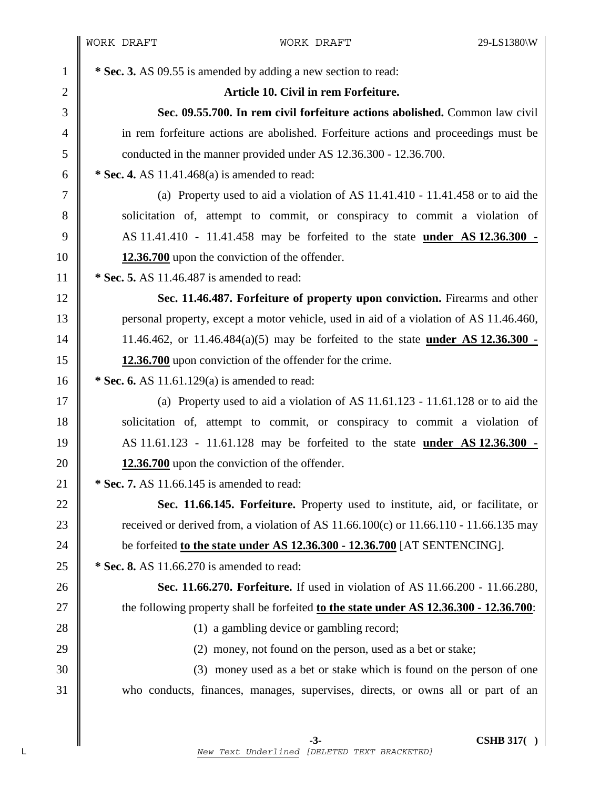<sup>1</sup> **\* Sec. 3.** AS 09.55 is amended by adding a new section to read: 2 **Article 10. Civil in rem Forfeiture.**  3 **Sec. 09.55.700. In rem civil forfeiture actions abolished.** Common law civil 4 in rem forfeiture actions are abolished. Forfeiture actions and proceedings must be 5 \\ conducted in the manner provided under AS 12.36.300 - 12.36.700. 6 **\* Sec. 4.** AS 11.41.468(a) is amended to read: 7 (a) Property used to aid a violation of AS 11.41.410 - 11.41.458 or to aid the 8 solicitation of, attempt to commit, or conspiracy to commit a violation of 9 AS 11.41.410 - 11.41.458 may be forfeited to the state **under AS 12.36.300 -**  10 **12.36.700** upon the conviction of the offender. 11 **\* Sec. 5.** AS 11.46.487 is amended to read: 12 **Sec. 11.46.487. Forfeiture of property upon conviction.** Firearms and other 13 personal property, except a motor vehicle, used in aid of a violation of AS 11.46.460, 14 11.46.462, or 11.46.484(a)(5) may be forfeited to the state **under AS 12.36.300 -**  15 **12.36.700** upon conviction of the offender for the crime. 16 **\*** Sec. 6. AS 11.61.129(a) is amended to read: 17  $\parallel$  (a) Property used to aid a violation of AS 11.61.123 - 11.61.128 or to aid the 18 solicitation of, attempt to commit, or conspiracy to commit a violation of 19 AS 11.61.123 - 11.61.128 may be forfeited to the state **under AS 12.36.300 -**  20 **12.36.700** upon the conviction of the offender. 21 **\* Sec. 7.** AS 11.66.145 is amended to read: 22 **Sec. 11.66.145. Forfeiture.** Property used to institute, aid, or facilitate, or 23  $\parallel$  received or derived from, a violation of AS 11.66.100(c) or 11.66.110 - 11.66.135 may 24 be forfeited **to the state under AS 12.36.300 - 12.36.700** [AT SENTENCING]. 25 **\*** Sec. 8. AS 11.66.270 is amended to read: 26 **Sec. 11.66.270. Forfeiture.** If used in violation of AS 11.66.200 - 11.66.280, 27 the following property shall be forfeited **to the state under AS 12.36.300 - 12.36.700**: 28 (1) a gambling device or gambling record; 29 (2) money, not found on the person, used as a bet or stake; 30 (3) money used as a bet or stake which is found on the person of one 31 who conducts, finances, manages, supervises, directs, or owns all or part of an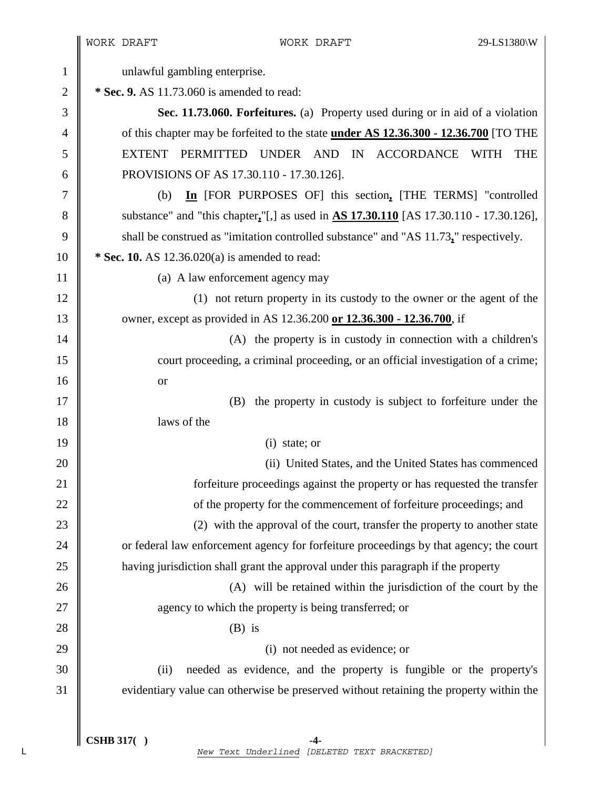$\parallel$ 

| $\mathbf{1}$   | unlawful gambling enterprise.                                                                 |  |  |  |
|----------------|-----------------------------------------------------------------------------------------------|--|--|--|
| $\mathbf{2}$   | * Sec. 9. AS 11.73.060 is amended to read:                                                    |  |  |  |
| $\mathfrak{Z}$ | Sec. 11.73.060. Forfeitures. (a) Property used during or in aid of a violation                |  |  |  |
| $\overline{4}$ | of this chapter may be forfeited to the state <b>under AS 12.36.300 - 12.36.700</b> [TO THE   |  |  |  |
| 5              | EXTENT PERMITTED UNDER AND IN<br>ACCORDANCE<br><b>THE</b><br>WITH                             |  |  |  |
| 6              | PROVISIONS OF AS 17.30.110 - 17.30.126].                                                      |  |  |  |
| $\tau$         | In [FOR PURPOSES OF] this section, [THE TERMS] "controlled<br>(b)                             |  |  |  |
| $8\,$          | substance" and "this chapter,"[,] as used in $\Delta S$ 17.30.110 [AS 17.30.110 - 17.30.126], |  |  |  |
| 9              | shall be construed as "imitation controlled substance" and "AS 11.73," respectively.          |  |  |  |
| 10             | * Sec. 10. AS $12.36.020(a)$ is amended to read:                                              |  |  |  |
| 11             | (a) A law enforcement agency may                                                              |  |  |  |
| 12             | (1) not return property in its custody to the owner or the agent of the                       |  |  |  |
| 13             | owner, except as provided in AS 12.36.200 or 12.36.300 - 12.36.700, if                        |  |  |  |
| 14             | (A) the property is in custody in connection with a children's                                |  |  |  |
| 15             | court proceeding, a criminal proceeding, or an official investigation of a crime;             |  |  |  |
| 16             | <b>or</b>                                                                                     |  |  |  |
| 17             | the property in custody is subject to forfeiture under the<br>(B)                             |  |  |  |
| 18             | laws of the                                                                                   |  |  |  |
| 19             | $(i)$ state; or                                                                               |  |  |  |
| 20             | (ii) United States, and the United States has commenced                                       |  |  |  |
| 21             | forfeiture proceedings against the property or has requested the transfer                     |  |  |  |
| 22             | of the property for the commencement of forfeiture proceedings; and                           |  |  |  |
| 23             | (2) with the approval of the court, transfer the property to another state                    |  |  |  |
| 24             | or federal law enforcement agency for forfeiture proceedings by that agency; the court        |  |  |  |
| 25             | having jurisdiction shall grant the approval under this paragraph if the property             |  |  |  |
| 26             | (A) will be retained within the jurisdiction of the court by the                              |  |  |  |
| 27             | agency to which the property is being transferred; or                                         |  |  |  |
| 28             | $(B)$ is                                                                                      |  |  |  |
| 29             | (i) not needed as evidence; or                                                                |  |  |  |
| 30             | needed as evidence, and the property is fungible or the property's<br>(ii)                    |  |  |  |
| 31             | evidentiary value can otherwise be preserved without retaining the property within the        |  |  |  |
|                |                                                                                               |  |  |  |
|                |                                                                                               |  |  |  |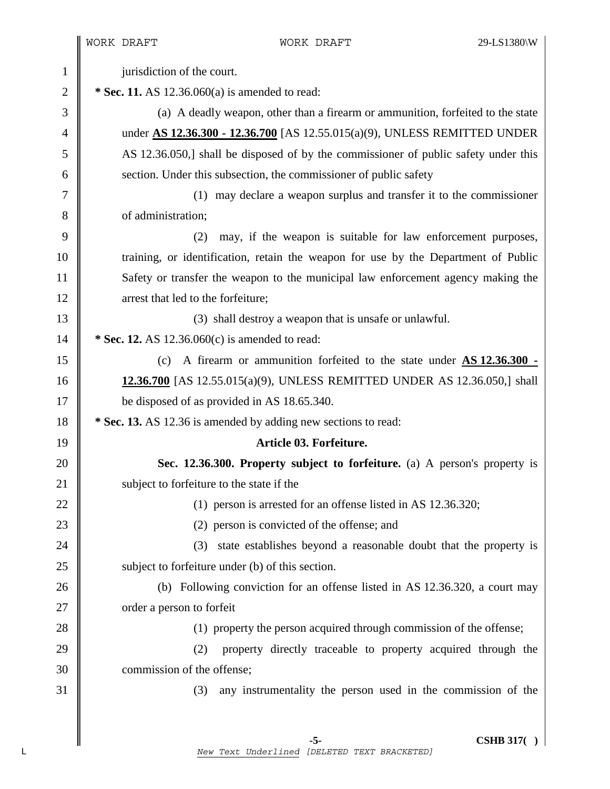WORK DRAFT WORK DRAFT 29-LS1380\W 1 | jurisdiction of the court. 2 **\* Sec. 11.** AS 12.36.060(a) is amended to read: 3 (a) A deadly weapon, other than a firearm or ammunition, forfeited to the state 4 under **AS 12.36.300 - 12.36.700** [AS 12.55.015(a)(9), UNLESS REMITTED UNDER 5 AS 12.36.050,] shall be disposed of by the commissioner of public safety under this 6 section. Under this subsection, the commissioner of public safety 7 (1) may declare a weapon surplus and transfer it to the commissioner 8 **b** of administration: 9 (2) may, if the weapon is suitable for law enforcement purposes, 10 Training, or identification, retain the weapon for use by the Department of Public 11 Safety or transfer the weapon to the municipal law enforcement agency making the 12 **I** arrest that led to the forfeiture: 13 (3) shall destroy a weapon that is unsafe or unlawful. 14 **\* Sec. 12.** AS 12.36.060(c) is amended to read: 15 (c) A firearm or ammunition forfeited to the state under **AS 12.36.300 -**  16 **12.36.700** [AS 12.55.015(a)(9), UNLESS REMITTED UNDER AS 12.36.050,] shall 17 be disposed of as provided in AS 18.65.340. 18 **\*** Sec. 13. AS 12.36 is amended by adding new sections to read: 19 **Article 03. Forfeiture.**  20 **Sec. 12.36.300. Property subject to forfeiture.** (a) A person's property is 21 | subject to forfeiture to the state if the 22 (1) person is arrested for an offense listed in AS 12.36.320; 23  $\parallel$  (2) person is convicted of the offense; and 24 || (3) state establishes beyond a reasonable doubt that the property is 25 Subject to forfeiture under (b) of this section. 26 (b) Following conviction for an offense listed in AS 12.36.320, a court may 27 | order a person to forfeit 28 (1) property the person acquired through commission of the offense; 29 (2) property directly traceable to property acquired through the 30 commission of the offense; 31 (3) any instrumentality the person used in the commission of the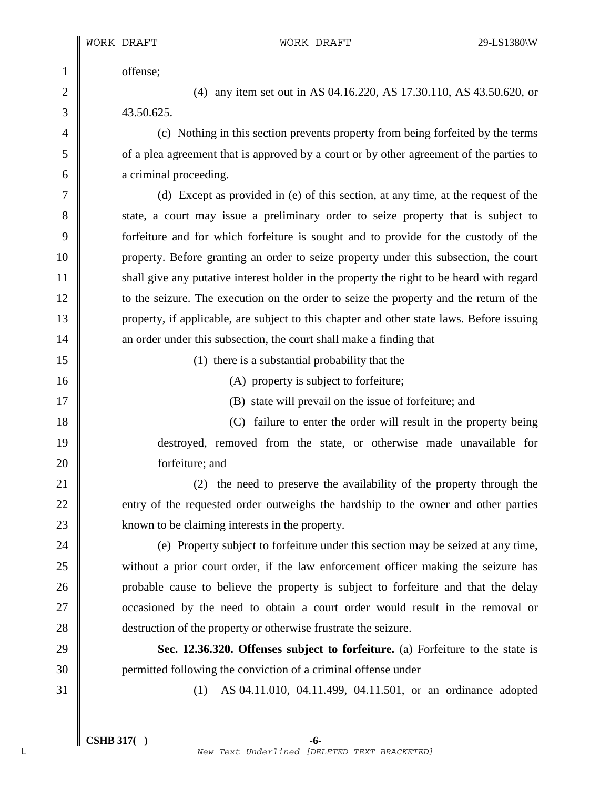1 offense;

2 (4) any item set out in AS 04.16.220, AS 17.30.110, AS 43.50.620, or  $3 \parallel$  43.50.625.

4 (c) Nothing in this section prevents property from being forfeited by the terms 5 of a plea agreement that is approved by a court or by other agreement of the parties to 6 **a** criminal proceeding.

7 (d) Except as provided in (e) of this section, at any time, at the request of the 8 state, a court may issue a preliminary order to seize property that is subject to 9 forfeiture and for which forfeiture is sought and to provide for the custody of the 10 property. Before granting an order to seize property under this subsection, the court 11 shall give any putative interest holder in the property the right to be heard with regard 12 \| to the seizure. The execution on the order to seize the property and the return of the 13 property, if applicable, are subject to this chapter and other state laws. Before issuing 14 **a** an order under this subsection, the court shall make a finding that

15 (1) there is a substantial probability that the

16 (A) property is subject to forfeiture;

17 **(B)** state will prevail on the issue of forfeiture; and

18 (C) failure to enter the order will result in the property being 19 destroyed, removed from the state, or otherwise made unavailable for 20 **ight** for form form that the same states and  $\mathbb{R}^n$ 

21 (2) the need to preserve the availability of the property through the 22 entry of the requested order outweighs the hardship to the owner and other parties 23 | known to be claiming interests in the property.

24 (e) Property subject to forfeiture under this section may be seized at any time, 25 without a prior court order, if the law enforcement officer making the seizure has 26 **probable cause to believe the property is subject to forfeiture and that the delay** 27 **occasioned** by the need to obtain a court order would result in the removal or 28 **destruction of the property or otherwise frustrate the seizure.** 

29 **Sec. 12.36.320. Offenses subject to forfeiture.** (a) Forfeiture to the state is 30 permitted following the conviction of a criminal offense under

31 (1) AS 04.11.010, 04.11.499, 04.11.501, or an ordinance adopted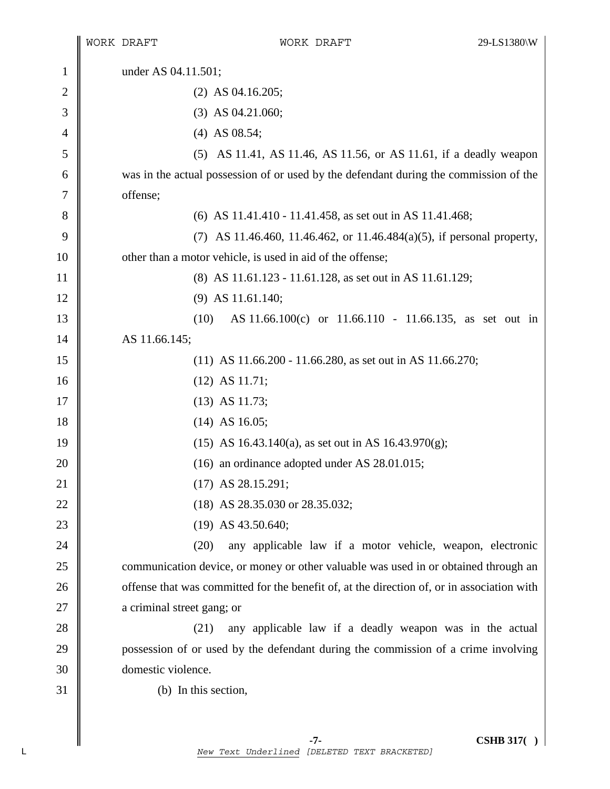|                |                                                                                            | WORK DRAFT           | WORK DRAFT                                                                            | 29-LS1380\W |  |
|----------------|--------------------------------------------------------------------------------------------|----------------------|---------------------------------------------------------------------------------------|-------------|--|
| $\mathbf{1}$   | under AS 04.11.501;                                                                        |                      |                                                                                       |             |  |
| $\overline{c}$ |                                                                                            | $(2)$ AS 04.16.205;  |                                                                                       |             |  |
| 3              |                                                                                            |                      | $(3)$ AS 04.21.060;                                                                   |             |  |
| 4              |                                                                                            |                      | $(4)$ AS 08.54;                                                                       |             |  |
| 5              |                                                                                            |                      | (5) AS 11.41, AS 11.46, AS 11.56, or AS 11.61, if a deadly weapon                     |             |  |
| 6              |                                                                                            |                      | was in the actual possession of or used by the defendant during the commission of the |             |  |
| 7              |                                                                                            | offense;             |                                                                                       |             |  |
| 8              |                                                                                            |                      | (6) AS 11.41.410 - 11.41.458, as set out in AS 11.41.468;                             |             |  |
| 9              |                                                                                            |                      | (7) AS 11.46.460, 11.46.462, or 11.46.484(a)(5), if personal property,                |             |  |
| 10             |                                                                                            |                      | other than a motor vehicle, is used in aid of the offense;                            |             |  |
| 11             |                                                                                            |                      | (8) AS 11.61.123 - 11.61.128, as set out in AS 11.61.129;                             |             |  |
| 12             |                                                                                            | $(9)$ AS 11.61.140;  |                                                                                       |             |  |
| 13             |                                                                                            | (10)                 | AS 11.66.100(c) or 11.66.110 - 11.66.135, as set out in                               |             |  |
| 14             | AS 11.66.145;                                                                              |                      |                                                                                       |             |  |
| 15             | $(11)$ AS 11.66.200 - 11.66.280, as set out in AS 11.66.270;                               |                      |                                                                                       |             |  |
| 16             | $(12)$ AS 11.71;                                                                           |                      |                                                                                       |             |  |
| 17             | $(13)$ AS 11.73;                                                                           |                      |                                                                                       |             |  |
| 18             | $(14)$ AS 16.05;                                                                           |                      |                                                                                       |             |  |
| 19             | (15) AS 16.43.140(a), as set out in AS 16.43.970(g);                                       |                      |                                                                                       |             |  |
| 20             | $(16)$ an ordinance adopted under AS 28.01.015;                                            |                      |                                                                                       |             |  |
| 21             | $(17)$ AS 28.15.291;                                                                       |                      |                                                                                       |             |  |
| 22             |                                                                                            |                      | (18) AS 28.35.030 or 28.35.032;                                                       |             |  |
| 23             |                                                                                            |                      | $(19)$ AS 43.50.640;                                                                  |             |  |
| 24             |                                                                                            | (20)                 | any applicable law if a motor vehicle, weapon, electronic                             |             |  |
| 25             | communication device, or money or other valuable was used in or obtained through an        |                      |                                                                                       |             |  |
| 26             | offense that was committed for the benefit of, at the direction of, or in association with |                      |                                                                                       |             |  |
| 27             | a criminal street gang; or                                                                 |                      |                                                                                       |             |  |
| 28             |                                                                                            | (21)                 | any applicable law if a deadly weapon was in the actual                               |             |  |
| 29             |                                                                                            |                      | possession of or used by the defendant during the commission of a crime involving     |             |  |
| 30             |                                                                                            | domestic violence.   |                                                                                       |             |  |
| 31             |                                                                                            | (b) In this section, |                                                                                       |             |  |
|                |                                                                                            |                      |                                                                                       |             |  |
|                |                                                                                            |                      |                                                                                       |             |  |

 **-7- CSHB 317( )**  L *New Text Underlined [DELETED TEXT BRACKETED]*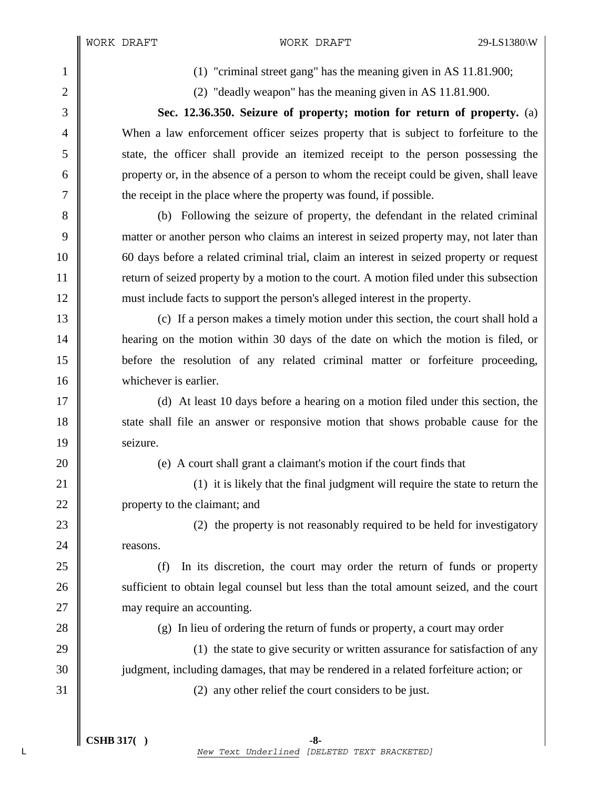1 (1) "criminal street gang" has the meaning given in AS 11.81.900;

2 (2) "deadly weapon" has the meaning given in AS 11.81.900.

3 **Sec. 12.36.350. Seizure of property; motion for return of property.** (a) 4 When a law enforcement officer seizes property that is subject to forfeiture to the 5 state, the officer shall provide an itemized receipt to the person possessing the 6 property or, in the absence of a person to whom the receipt could be given, shall leave 7  $\parallel$  the receipt in the place where the property was found, if possible.

8 (b) Following the seizure of property, the defendant in the related criminal 9 matter or another person who claims an interest in seized property may, not later than 10 60 days before a related criminal trial, claim an interest in seized property or request 11 Treturn of seized property by a motion to the court. A motion filed under this subsection 12 must include facts to support the person's alleged interest in the property.

13 (c) If a person makes a timely motion under this section, the court shall hold a 14 **hearing on the motion within 30 days of the date on which the motion is filed, or** 15 before the resolution of any related criminal matter or forfeiture proceeding, 16 whichever is earlier.

17 (d) At least 10 days before a hearing on a motion filed under this section, the 18 state shall file an answer or responsive motion that shows probable cause for the 19 | seizure.

20 **(a)** (e) A court shall grant a claimant's motion if the court finds that

21 **(1)** 21 (1) it is likely that the final judgment will require the state to return the 22 | property to the claimant; and

23 (2) the property is not reasonably required to be held for investigatory 24 **reasons**.

25 (f) In its discretion, the court may order the return of funds or property 26 sufficient to obtain legal counsel but less than the total amount seized, and the court 27 | may require an accounting.

28 (g) In lieu of ordering the return of funds or property, a court may order

29  $\parallel$  (1) the state to give security or written assurance for satisfaction of any 30 judgment, including damages, that may be rendered in a related forfeiture action; or

 $31 \parallel$  (2) any other relief the court considers to be just.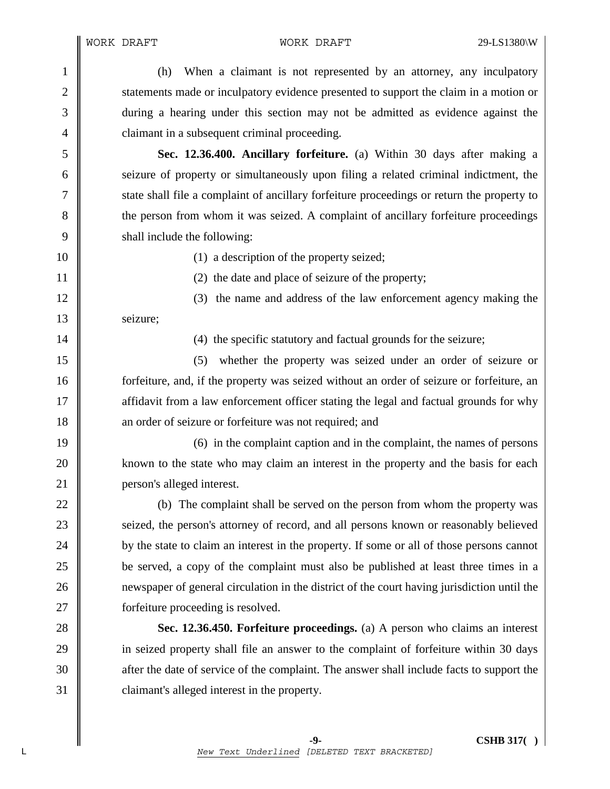1 (h) When a claimant is not represented by an attorney, any inculpatory 2 statements made or inculpatory evidence presented to support the claim in a motion or 3 during a hearing under this section may not be admitted as evidence against the 4 **claimant in a subsequent criminal proceeding.** 

5 **Sec. 12.36.400. Ancillary forfeiture.** (a) Within 30 days after making a 6 seizure of property or simultaneously upon filing a related criminal indictment, the 7 State shall file a complaint of ancillary forfeiture proceedings or return the property to 8 the person from whom it was seized. A complaint of ancillary forfeiture proceedings 9 shall include the following:

10 (1) a description of the property seized;

11 || (2) the date and place of seizure of the property;

12 || (3) the name and address of the law enforcement agency making the 13 | seizure:

14 || (4) the specific statutory and factual grounds for the seizure;

15 (5) whether the property was seized under an order of seizure or 16 forfeiture, and, if the property was seized without an order of seizure or forfeiture, an 17 **a** affidavit from a law enforcement officer stating the legal and factual grounds for why 18 an order of seizure or forfeiture was not required; and

19 (6) in the complaint caption and in the complaint, the names of persons 20 **known** to the state who may claim an interest in the property and the basis for each 21 **person's alleged interest.** 

22 (b) The complaint shall be served on the person from whom the property was 23 Seized, the person's attorney of record, and all persons known or reasonably believed 24 by the state to claim an interest in the property. If some or all of those persons cannot 25 be served, a copy of the complaint must also be published at least three times in a 26 newspaper of general circulation in the district of the court having jurisdiction until the 27 **forfeiture proceeding is resolved.** 

**Sec. 12.36.450. Forfeiture proceedings.** (a) A person who claims an interest 29 in seized property shall file an answer to the complaint of forfeiture within 30 days  $\parallel$  after the date of service of the complaint. The answer shall include facts to support the **claimant's alleged interest in the property.**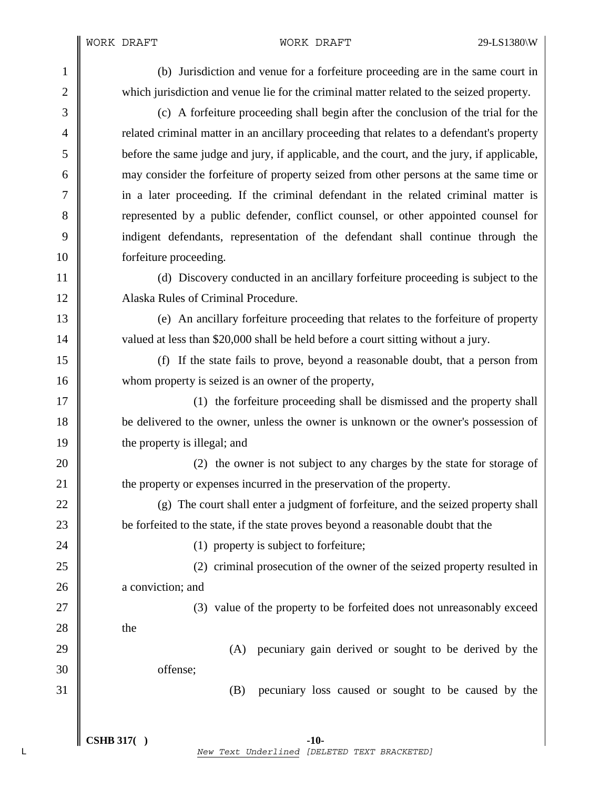WORK DRAFT WORK DRAFT 29-LS1380\W

| $\mathbf{1}$   | (b) Jurisdiction and venue for a forfeiture proceeding are in the same court in            |  |  |  |
|----------------|--------------------------------------------------------------------------------------------|--|--|--|
| $\mathfrak{2}$ | which jurisdiction and venue lie for the criminal matter related to the seized property.   |  |  |  |
| 3              | (c) A forfeiture proceeding shall begin after the conclusion of the trial for the          |  |  |  |
| 4              | related criminal matter in an ancillary proceeding that relates to a defendant's property  |  |  |  |
| 5              | before the same judge and jury, if applicable, and the court, and the jury, if applicable, |  |  |  |
| 6              | may consider the forfeiture of property seized from other persons at the same time or      |  |  |  |
| 7              | in a later proceeding. If the criminal defendant in the related criminal matter is         |  |  |  |
| 8              | represented by a public defender, conflict counsel, or other appointed counsel for         |  |  |  |
| 9              | indigent defendants, representation of the defendant shall continue through the            |  |  |  |
| 10             | forfeiture proceeding.                                                                     |  |  |  |
| 11             | (d) Discovery conducted in an ancillary forfeiture proceeding is subject to the            |  |  |  |
| 12             | Alaska Rules of Criminal Procedure.                                                        |  |  |  |
| 13             | (e) An ancillary forfeiture proceeding that relates to the forfeiture of property          |  |  |  |
| 14             | valued at less than \$20,000 shall be held before a court sitting without a jury.          |  |  |  |
| 15             | If the state fails to prove, beyond a reasonable doubt, that a person from<br>(f)          |  |  |  |
| 16             | whom property is seized is an owner of the property,                                       |  |  |  |
| 17             | (1) the forfeiture proceeding shall be dismissed and the property shall                    |  |  |  |
| 18             | be delivered to the owner, unless the owner is unknown or the owner's possession of        |  |  |  |
| 19             | the property is illegal; and                                                               |  |  |  |
| 20             | (2) the owner is not subject to any charges by the state for storage of                    |  |  |  |
| 21             | the property or expenses incurred in the preservation of the property.                     |  |  |  |
| 22             | (g) The court shall enter a judgment of forfeiture, and the seized property shall          |  |  |  |
| 23             | be forfeited to the state, if the state proves beyond a reasonable doubt that the          |  |  |  |
| 24             | (1) property is subject to forfeiture;                                                     |  |  |  |
| 25             | (2) criminal prosecution of the owner of the seized property resulted in                   |  |  |  |
| 26             | a conviction; and                                                                          |  |  |  |
| 27             | (3) value of the property to be forfeited does not unreasonably exceed                     |  |  |  |
| 28             | the                                                                                        |  |  |  |
| 29             | pecuniary gain derived or sought to be derived by the<br>(A)                               |  |  |  |
| 30             | offense;                                                                                   |  |  |  |
| 31             | (B)<br>pecuniary loss caused or sought to be caused by the                                 |  |  |  |
|                |                                                                                            |  |  |  |
|                |                                                                                            |  |  |  |

 $\int \text{CSHB 317}()$  -10-L *New Text Underlined [DELETED TEXT BRACKETED]*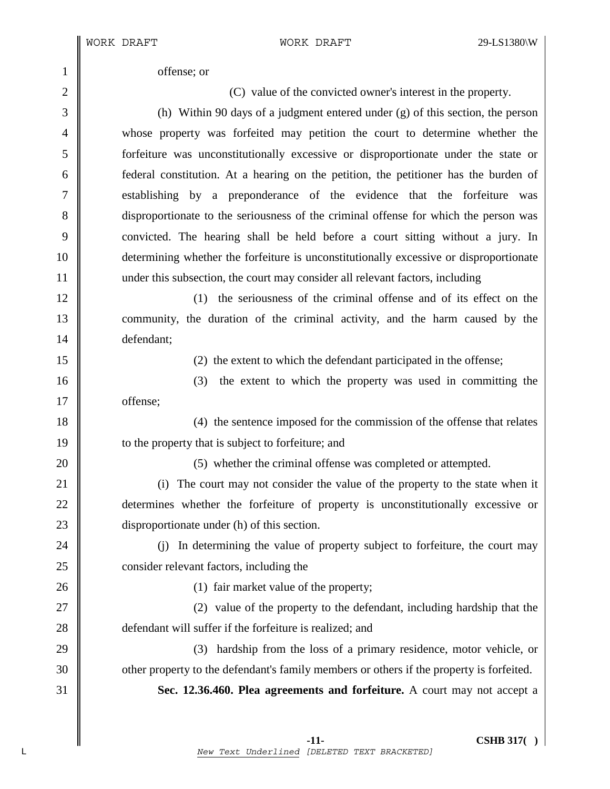1 offense; or

2 (C) value of the convicted owner's interest in the property.

3 (h) Within 90 days of a judgment entered under (g) of this section, the person 4 whose property was forfeited may petition the court to determine whether the 5 forfeiture was unconstitutionally excessive or disproportionate under the state or 6 federal constitution. At a hearing on the petition, the petitioner has the burden of 7 establishing by a preponderance of the evidence that the forfeiture was 8 disproportionate to the seriousness of the criminal offense for which the person was 9 convicted. The hearing shall be held before a court sitting without a jury. In 10 determining whether the forfeiture is unconstitutionally excessive or disproportionate 11 under this subsection, the court may consider all relevant factors, including

12 (1) the seriousness of the criminal offense and of its effect on the 13 community, the duration of the criminal activity, and the harm caused by the 14 defendant;

15 || (2) the extent to which the defendant participated in the offense;

16 (3) the extent to which the property was used in committing the 17 | offense;

18 (4) the sentence imposed for the commission of the offense that relates 19 **to the property that is subject to forfeiture; and** 

20 **(5)** whether the criminal offense was completed or attempted.

21 (i) The court may not consider the value of the property to the state when it 22 determines whether the forfeiture of property is unconstitutionally excessive or 23 disproportionate under (h) of this section.

24 (i) In determining the value of property subject to forfeiture, the court may 25 consider relevant factors, including the

26 (1) fair market value of the property;

27 || (2) value of the property to the defendant, including hardship that the 28 **defendant will suffer if the forfeiture is realized: and** 

29 (3) hardship from the loss of a primary residence, motor vehicle, or 30 other property to the defendant's family members or others if the property is forfeited.

31 **Sec. 12.36.460. Plea agreements and forfeiture.** A court may not accept a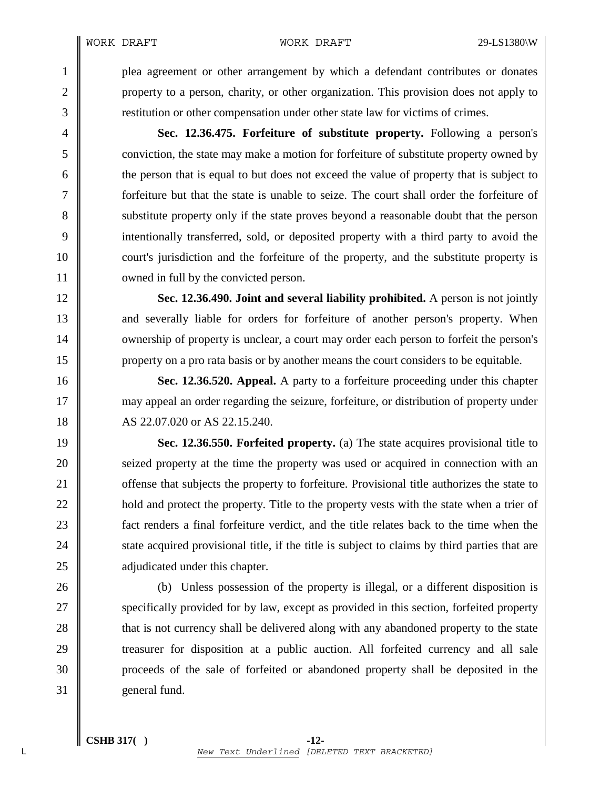WORK DRAFT WORK DRAFT 29-LS1380\W

1 plea agreement or other arrangement by which a defendant contributes or donates 2 property to a person, charity, or other organization. This provision does not apply to 3 restitution or other compensation under other state law for victims of crimes.

4 **Sec. 12.36.475. Forfeiture of substitute property.** Following a person's 5 conviction, the state may make a motion for forfeiture of substitute property owned by 6 the person that is equal to but does not exceed the value of property that is subject to 7 forfeiture but that the state is unable to seize. The court shall order the forfeiture of 8 substitute property only if the state proves beyond a reasonable doubt that the person 9 intentionally transferred, sold, or deposited property with a third party to avoid the 10 court's jurisdiction and the forfeiture of the property, and the substitute property is 11 **I** owned in full by the convicted person.

12 **Sec. 12.36.490. Joint and several liability prohibited.** A person is not jointly 13 and severally liable for orders for forfeiture of another person's property. When 14 w ownership of property is unclear, a court may order each person to forfeit the person's 15 property on a pro rata basis or by another means the court considers to be equitable.

16 **Sec. 12.36.520. Appeal.** A party to a forfeiture proceeding under this chapter 17 may appeal an order regarding the seizure, forfeiture, or distribution of property under 18 AS 22.07.020 or AS 22.15.240.

19 **Sec. 12.36.550. Forfeited property.** (a) The state acquires provisional title to 20 seized property at the time the property was used or acquired in connection with an 21 **offense that subjects the property to forfeiture. Provisional title authorizes the state to** 22 | hold and protect the property. Title to the property vests with the state when a trier of 23 fact renders a final forfeiture verdict, and the title relates back to the time when the 24 state acquired provisional title, if the title is subject to claims by third parties that are 25 **a**djudicated under this chapter.

26 (b) Unless possession of the property is illegal, or a different disposition is 27 Specifically provided for by law, except as provided in this section, forfeited property 28 that is not currency shall be delivered along with any abandoned property to the state 29 treasurer for disposition at a public auction. All forfeited currency and all sale 30 proceeds of the sale of forfeited or abandoned property shall be deposited in the 31 general fund.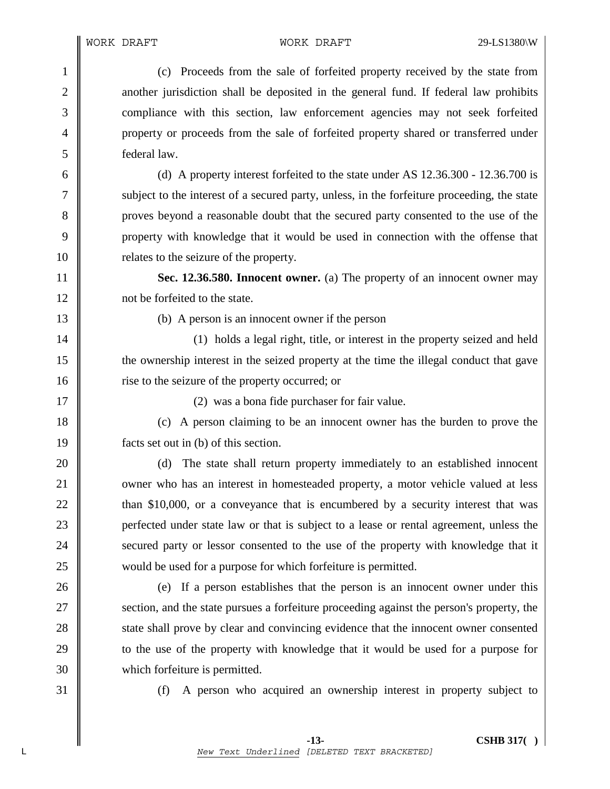1 (c) Proceeds from the sale of forfeited property received by the state from 2 another jurisdiction shall be deposited in the general fund. If federal law prohibits 3 compliance with this section, law enforcement agencies may not seek forfeited 4 property or proceeds from the sale of forfeited property shared or transferred under 5 federal law.

6 (d) A property interest forfeited to the state under AS 12.36.300 - 12.36.700 is 7 subject to the interest of a secured party, unless, in the forfeiture proceeding, the state 8 proves beyond a reasonable doubt that the secured party consented to the use of the 9 property with knowledge that it would be used in connection with the offense that 10 **||** relates to the seizure of the property.

11 **Sec. 12.36.580. Innocent owner.** (a) The property of an innocent owner may 12 | not be forfeited to the state.

13 (b) A person is an innocent owner if the person

14 (1) holds a legal right, title, or interest in the property seized and held 15 the ownership interest in the seized property at the time the illegal conduct that gave 16 **f** rise to the seizure of the property occurred; or

17 || (2) was a bona fide purchaser for fair value.

18 (c) A person claiming to be an innocent owner has the burden to prove the 19 facts set out in (b) of this section.

20 (d) The state shall return property immediately to an established innocent 21 v owner who has an interest in homesteaded property, a motor vehicle valued at less 22 **than \$10,000**, or a conveyance that is encumbered by a security interest that was 23 **perfected under state law or that is subject to a lease or rental agreement, unless the** 24 secured party or lessor consented to the use of the property with knowledge that it 25 would be used for a purpose for which forfeiture is permitted.

26 (e) If a person establishes that the person is an innocent owner under this 27 Section, and the state pursues a forfeiture proceeding against the person's property, the 28 state shall prove by clear and convincing evidence that the innocent owner consented 29 to the use of the property with knowledge that it would be used for a purpose for 30 which forfeiture is permitted.

31 (f) A person who acquired an ownership interest in property subject to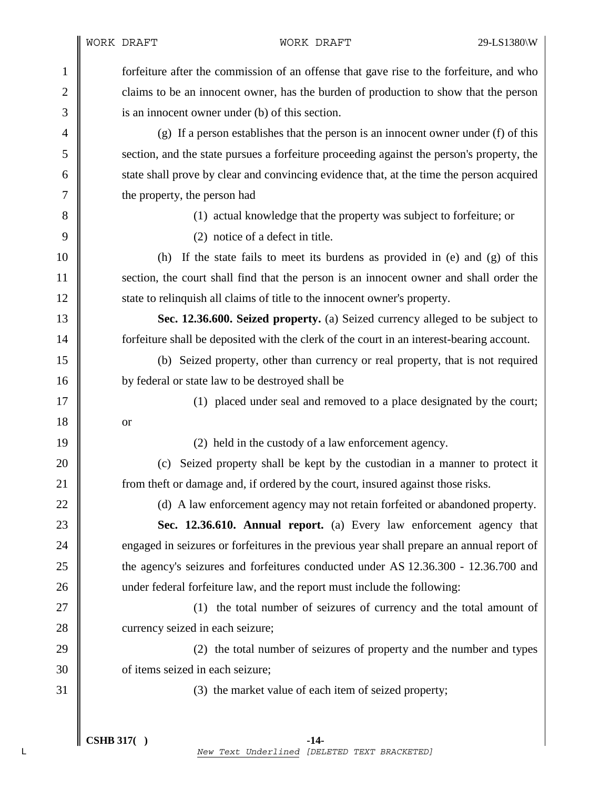1 forfeiture after the commission of an offense that gave rise to the forfeiture, and who 2 claims to be an innocent owner, has the burden of production to show that the person 3 is an innocent owner under (b) of this section.

4 (g) If a person establishes that the person is an innocent owner under (f) of this 5 section, and the state pursues a forfeiture proceeding against the person's property, the 6 state shall prove by clear and convincing evidence that, at the time the person acquired 7 the property, the person had

8 (1) actual knowledge that the property was subject to forfeiture; or

9 || (2) notice of a defect in title.

10 (h) If the state fails to meet its burdens as provided in (e) and (g) of this 11 section, the court shall find that the person is an innocent owner and shall order the 12 State to relinquish all claims of title to the innocent owner's property.

13 **Sec. 12.36.600. Seized property.** (a) Seized currency alleged to be subject to 14 **forfeiture shall be deposited with the clerk of the court in an interest-bearing account.** 

15 (b) Seized property, other than currency or real property, that is not required 16 by federal or state law to be destroyed shall be

17 || (1) placed under seal and removed to a place designated by the court;

19 (2) held in the custody of a law enforcement agency.

20 (c) Seized property shall be kept by the custodian in a manner to protect it 21 **from theft or damage and, if ordered by the court, insured against those risks.** 

22 (d) A law enforcement agency may not retain forfeited or abandoned property.

23 **Sec. 12.36.610. Annual report.** (a) Every law enforcement agency that 24 engaged in seizures or forfeitures in the previous year shall prepare an annual report of 25 the agency's seizures and forfeitures conducted under AS 12.36.300 - 12.36.700 and 26 under federal forfeiture law, and the report must include the following:

27 || (1) the total number of seizures of currency and the total amount of 28 currency seized in each seizure;

29 (2) the total number of seizures of property and the number and types 30 **Solution** of items seized in each seizure;

31 (3) the market value of each item of seized property;

18 or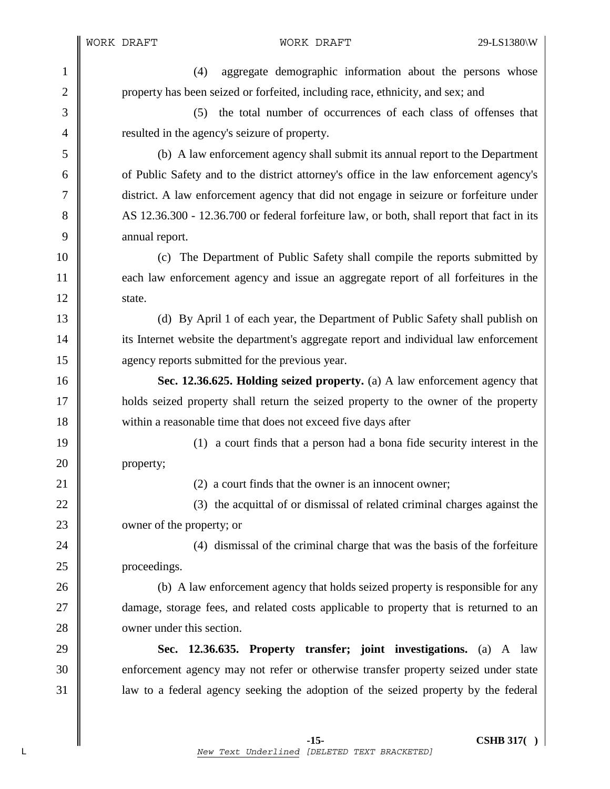WORK DRAFT WORK DRAFT 29-LS1380\W

 **-15- CSHB 317( )**  1 (4) aggregate demographic information about the persons whose 2 property has been seized or forfeited, including race, ethnicity, and sex; and 3 (5) the total number of occurrences of each class of offenses that 4 **Figure 1** resulted in the agency's seizure of property. 5 (b) A law enforcement agency shall submit its annual report to the Department 6 of Public Safety and to the district attorney's office in the law enforcement agency's 7 district. A law enforcement agency that did not engage in seizure or forfeiture under 8 AS 12.36.300 - 12.36.700 or federal forfeiture law, or both, shall report that fact in its 9 annual report. 10 (c) The Department of Public Safety shall compile the reports submitted by 11 each law enforcement agency and issue an aggregate report of all forfeitures in the  $12 \parallel$  state. 13 (d) By April 1 of each year, the Department of Public Safety shall publish on 14 its Internet website the department's aggregate report and individual law enforcement 15 **agency reports submitted for the previous year.** 16 **Sec. 12.36.625. Holding seized property.** (a) A law enforcement agency that 17 holds seized property shall return the seized property to the owner of the property 18 within a reasonable time that does not exceed five days after 19 (1) a court finds that a person had a bona fide security interest in the 20 **property**; 21 | (2) a court finds that the owner is an innocent owner; 22  $\parallel$  (3) the acquittal of or dismissal of related criminal charges against the 23 women of the property; or 24 || (4) dismissal of the criminal charge that was the basis of the forfeiture 25 proceedings. 26 (b) A law enforcement agency that holds seized property is responsible for any 27 **damage, storage fees, and related costs applicable to property that is returned to an** 28 **I** owner under this section. 29 **Sec. 12.36.635. Property transfer; joint investigations.** (a) A law 30 enforcement agency may not refer or otherwise transfer property seized under state 31 law to a federal agency seeking the adoption of the seized property by the federal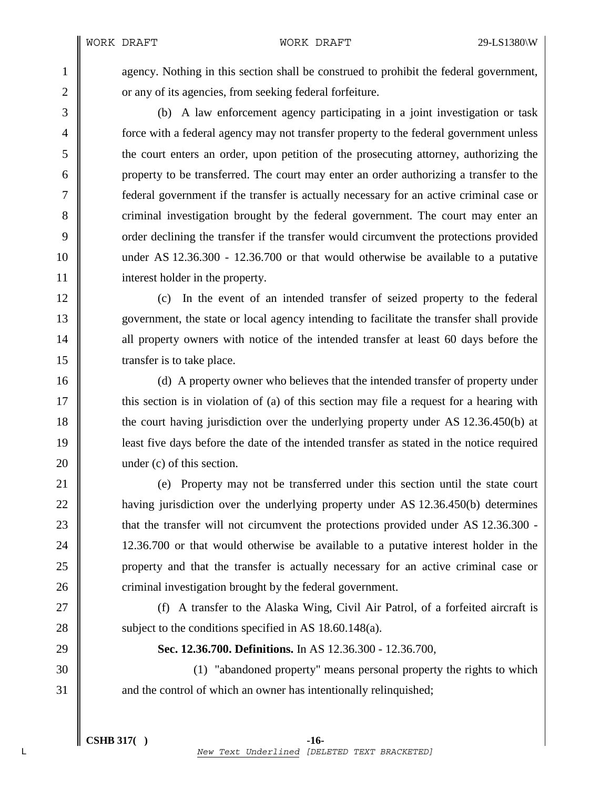1 agency. Nothing in this section shall be construed to prohibit the federal government, 2 **||** or any of its agencies, from seeking federal forfeiture.

3 (b) A law enforcement agency participating in a joint investigation or task 4 force with a federal agency may not transfer property to the federal government unless 5 the court enters an order, upon petition of the prosecuting attorney, authorizing the 6 property to be transferred. The court may enter an order authorizing a transfer to the 7 federal government if the transfer is actually necessary for an active criminal case or 8 criminal investigation brought by the federal government. The court may enter an 9 order declining the transfer if the transfer would circumvent the protections provided 10 under AS 12.36.300 - 12.36.700 or that would otherwise be available to a putative 11 interest holder in the property.

12 (c) In the event of an intended transfer of seized property to the federal 13 government, the state or local agency intending to facilitate the transfer shall provide 14 all property owners with notice of the intended transfer at least 60 days before the 15 Transfer is to take place.

16 (d) A property owner who believes that the intended transfer of property under 17 this section is in violation of (a) of this section may file a request for a hearing with 18 the court having jurisdiction over the underlying property under AS 12.36.450(b) at 19 least five days before the date of the intended transfer as stated in the notice required 20 | under (c) of this section.

21 (e) Property may not be transferred under this section until the state court 22 **having jurisdiction over the underlying property under AS 12.36.450(b)** determines 23 that the transfer will not circumvent the protections provided under AS 12.36.300 - 24 12.36.700 or that would otherwise be available to a putative interest holder in the 25 property and that the transfer is actually necessary for an active criminal case or 26 **c** criminal investigation brought by the federal government.

27 || (f) A transfer to the Alaska Wing, Civil Air Patrol, of a forfeited aircraft is 28  $\parallel$  subject to the conditions specified in AS 18.60.148(a).

29 **Sec. 12.36.700. Definitions.** In AS 12.36.300 - 12.36.700,

30 (1) "abandoned property" means personal property the rights to which 31 and the control of which an owner has intentionally relinquished;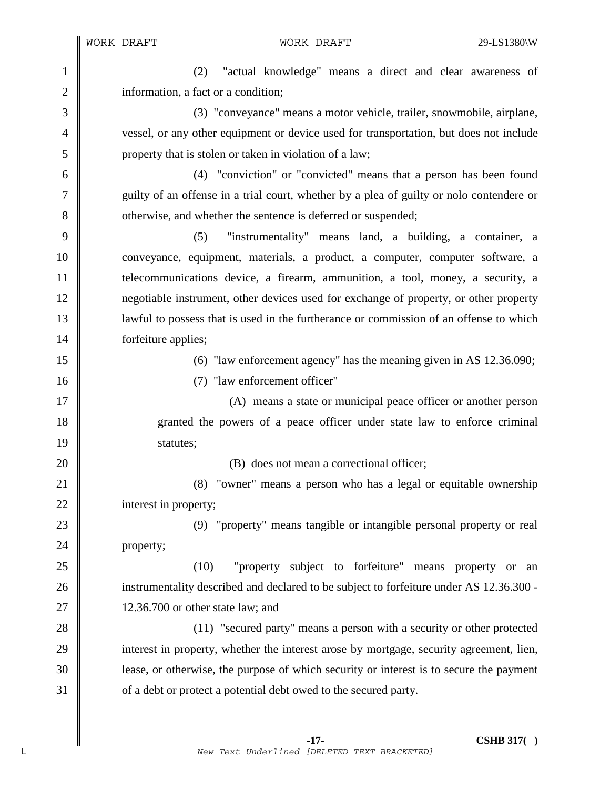1 (2) "actual knowledge" means a direct and clear awareness of 2 | information, a fact or a condition;

3 (3) "conveyance" means a motor vehicle, trailer, snowmobile, airplane, 4 vessel, or any other equipment or device used for transportation, but does not include 5 property that is stolen or taken in violation of a law;

6 (4) "conviction" or "convicted" means that a person has been found 7 guilty of an offense in a trial court, whether by a plea of guilty or nolo contendere or 8 otherwise, and whether the sentence is deferred or suspended;

9 (5) "instrumentality" means land, a building, a container, a 10 conveyance, equipment, materials, a product, a computer, computer software, a 11 telecommunications device, a firearm, ammunition, a tool, money, a security, a 12 negotiable instrument, other devices used for exchange of property, or other property 13 | lawful to possess that is used in the furtherance or commission of an offense to which 14 | forfeiture applies;

15 (6) "law enforcement agency" has the meaning given in AS 12.36.090;

16 (7) "law enforcement officer"

17 (A) means a state or municipal peace officer or another person 18 granted the powers of a peace officer under state law to enforce criminal 19 statutes;

20 **(B)** does not mean a correctional officer;

21 **(8)** "owner" means a person who has a legal or equitable ownership 22 interest in property;

23 (9) "property" means tangible or intangible personal property or real 24 **property**;

25 (10) "property subject to forfeiture" means property or an 26 instrumentality described and declared to be subject to forfeiture under AS 12.36.300 -27 || 12.36.700 or other state law; and

28 (11) "secured party" means a person with a security or other protected 29 interest in property, whether the interest arose by mortgage, security agreement, lien, 30 lease, or otherwise, the purpose of which security or interest is to secure the payment 31 of a debt or protect a potential debt owed to the secured party.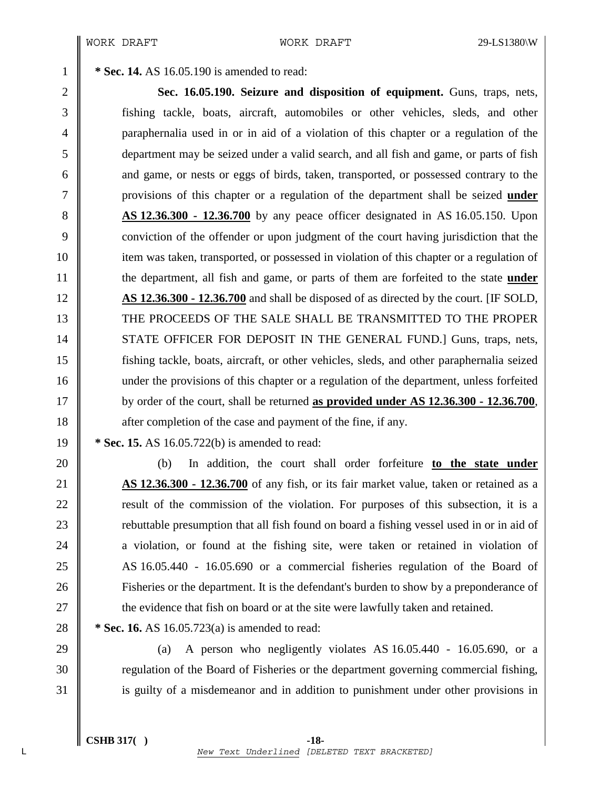1 **\* Sec. 14.** AS 16.05.190 is amended to read:

2 **Sec. 16.05.190. Seizure and disposition of equipment.** Guns, traps, nets, 3 fishing tackle, boats, aircraft, automobiles or other vehicles, sleds, and other 4 paraphernalia used in or in aid of a violation of this chapter or a regulation of the 5 department may be seized under a valid search, and all fish and game, or parts of fish 6 and game, or nests or eggs of birds, taken, transported, or possessed contrary to the 7 provisions of this chapter or a regulation of the department shall be seized **under**  8 **AS 12.36.300 - 12.36.700** by any peace officer designated in AS 16.05.150. Upon 9 conviction of the offender or upon judgment of the court having jurisdiction that the 10 item was taken, transported, or possessed in violation of this chapter or a regulation of 11 the department, all fish and game, or parts of them are forfeited to the state **under** 12 **AS 12.36.300 - 12.36.700** and shall be disposed of as directed by the court. [IF SOLD, 13 THE PROCEEDS OF THE SALE SHALL BE TRANSMITTED TO THE PROPER 14 STATE OFFICER FOR DEPOSIT IN THE GENERAL FUND.] Guns, traps, nets, 15 fishing tackle, boats, aircraft, or other vehicles, sleds, and other paraphernalia seized 16 under the provisions of this chapter or a regulation of the department, unless forfeited 17 by order of the court, shall be returned **as provided under AS 12.36.300 - 12.36.700**, 18 after completion of the case and payment of the fine, if any.

19 **\* Sec. 15.** AS 16.05.722(b) is amended to read:

20 (b) In addition, the court shall order forfeiture **to the state under**  21 **AS 12.36.300 - 12.36.700** of any fish, or its fair market value, taken or retained as a 22 **Figure 22** result of the commission of the violation. For purposes of this subsection, it is a 23 **Fig.** 23 rebuttable presumption that all fish found on board a fishing vessel used in or in aid of 24 a violation, or found at the fishing site, were taken or retained in violation of 25 AS 16.05.440 - 16.05.690 or a commercial fisheries regulation of the Board of 26 Fisheries or the department. It is the defendant's burden to show by a preponderance of 27  $\parallel$  the evidence that fish on board or at the site were lawfully taken and retained.

28 **\*** Sec. 16. AS 16.05.723(a) is amended to read:

29  $\parallel$  (a) A person who negligently violates AS 16.05.440 - 16.05.690, or a 30 Tegulation of the Board of Fisheries or the department governing commercial fishing, 31 is guilty of a misdemeanor and in addition to punishment under other provisions in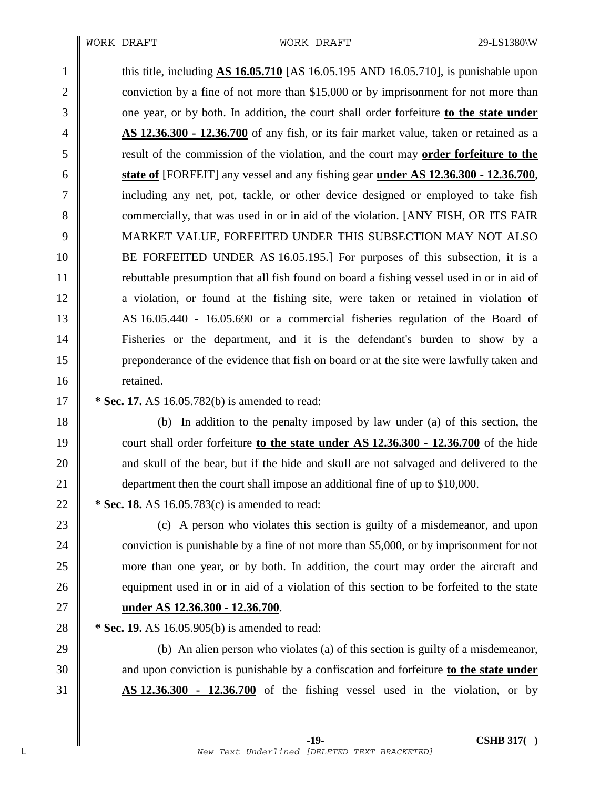1 this title, including **AS 16.05.710** [AS 16.05.195 AND 16.05.710], is punishable upon 2 conviction by a fine of not more than \$15,000 or by imprisonment for not more than 3 one year, or by both. In addition, the court shall order forfeiture **to the state under** 4 **AS 12.36.300 - 12.36.700** of any fish, or its fair market value, taken or retained as a 5 result of the commission of the violation, and the court may **order forfeiture to the**  6 **state of** [FORFEIT] any vessel and any fishing gear **under AS 12.36.300 - 12.36.700**, 7 including any net, pot, tackle, or other device designed or employed to take fish 8 commercially, that was used in or in aid of the violation. [ANY FISH, OR ITS FAIR 9 MARKET VALUE, FORFEITED UNDER THIS SUBSECTION MAY NOT ALSO 10 BE FORFEITED UNDER AS 16.05.195.] For purposes of this subsection, it is a 11 rebuttable presumption that all fish found on board a fishing vessel used in or in aid of 12 a violation, or found at the fishing site, were taken or retained in violation of 13 AS 16.05.440 - 16.05.690 or a commercial fisheries regulation of the Board of 14 Fisheries or the department, and it is the defendant's burden to show by a 15 preponderance of the evidence that fish on board or at the site were lawfully taken and 16 **I** retained.

17 **\* Sec. 17.** AS 16.05.782(b) is amended to read:

18 (b) In addition to the penalty imposed by law under (a) of this section, the 19 court shall order forfeiture **to the state under AS 12.36.300 - 12.36.700** of the hide 20 **a** and skull of the bear, but if the hide and skull are not salvaged and delivered to the 21 department then the court shall impose an additional fine of up to \$10,000.

22 **\*** Sec. 18. AS 16.05.783(c) is amended to read:

23 (c) A person who violates this section is guilty of a misdemeanor, and upon 24 conviction is punishable by a fine of not more than \$5,000, or by imprisonment for not 25 more than one year, or by both. In addition, the court may order the aircraft and 26 equipment used in or in aid of a violation of this section to be forfeited to the state 27 **under AS 12.36.300 - 12.36.700**.

28 **\*** Sec. 19. AS 16.05.905(b) is amended to read:

29 (b) An alien person who violates (a) of this section is guilty of a misdemeanor, 30 and upon conviction is punishable by a confiscation and forfeiture **to the state under**  31 **AS 12.36.300 - 12.36.700** of the fishing vessel used in the violation, or by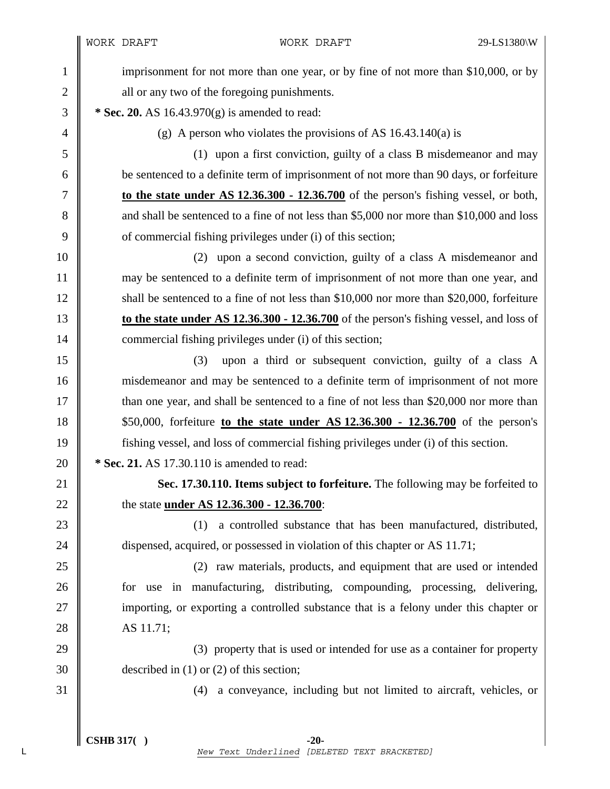WORK DRAFT WORK DRAFT 29-LS1380\W

1 imprisonment for not more than one year, or by fine of not more than \$10,000, or by 2 **all or any two of the foregoing punishments.** 

3 **\* Sec. 20.** AS 16.43.970(g) is amended to read:

4 (g) A person who violates the provisions of AS 16.43.140(a) is

5 (1) upon a first conviction, guilty of a class B misdemeanor and may 6 be sentenced to a definite term of imprisonment of not more than 90 days, or forfeiture 7 **to the state under AS 12.36.300 - 12.36.700** of the person's fishing vessel, or both, 8 and shall be sentenced to a fine of not less than \$5,000 nor more than \$10,000 and loss 9  $\parallel$  of commercial fishing privileges under (i) of this section;

10 (2) upon a second conviction, guilty of a class A misdemeanor and 11 may be sentenced to a definite term of imprisonment of not more than one year, and 12 Shall be sentenced to a fine of not less than \$10,000 nor more than \$20,000, forfeiture 13 **to the state under AS 12.36.300 - 12.36.700** of the person's fishing vessel, and loss of 14 **commercial fishing privileges under (i) of this section;** 

15 (3) upon a third or subsequent conviction, guilty of a class A 16 misdemeanor and may be sentenced to a definite term of imprisonment of not more 17 than one year, and shall be sentenced to a fine of not less than \$20,000 nor more than 18 \$50,000, forfeiture **to the state under AS 12.36.300 - 12.36.700** of the person's 19 fishing vessel, and loss of commercial fishing privileges under (i) of this section. 20 **\* Sec. 21.** AS 17.30.110 is amended to read:

21 **Sec. 17.30.110. Items subject to forfeiture.** The following may be forfeited to 22 the state **under AS 12.36.300 - 12.36.700**:

23 || (1) a controlled substance that has been manufactured, distributed, 24 dispensed, acquired, or possessed in violation of this chapter or AS 11.71;

25 (2) raw materials, products, and equipment that are used or intended 26 for use in manufacturing, distributing, compounding, processing, delivering, 27 importing, or exporting a controlled substance that is a felony under this chapter or 28 AS 11.71;

29  $\parallel$  (3) property that is used or intended for use as a container for property 30 described in (1) or (2) of this section;

31 (4) a conveyance, including but not limited to aircraft, vehicles, or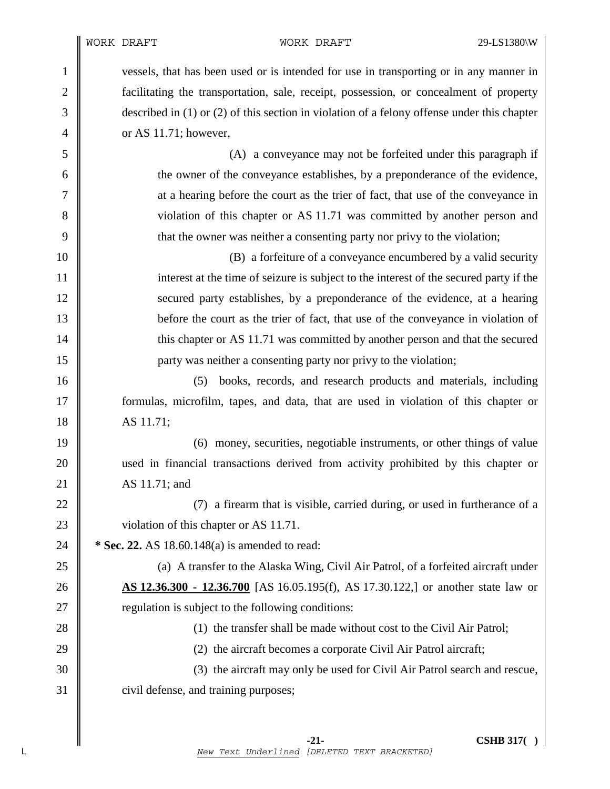1 vessels, that has been used or is intended for use in transporting or in any manner in 2 **facilitating the transportation, sale, receipt, possession, or concealment of property** 3 described in (1) or (2) of this section in violation of a felony offense under this chapter 4  $\parallel$  or AS 11.71; however,

5 (A) a conveyance may not be forfeited under this paragraph if 6 the owner of the conveyance establishes, by a preponderance of the evidence, 7 at a hearing before the court as the trier of fact, that use of the conveyance in 8 violation of this chapter or AS 11.71 was committed by another person and 9 that the owner was neither a consenting party nor privy to the violation;

10 (B) a forfeiture of a conveyance encumbered by a valid security 11 interest at the time of seizure is subject to the interest of the secured party if the 12 secured party establishes, by a preponderance of the evidence, at a hearing 13 before the court as the trier of fact, that use of the conveyance in violation of 14 this chapter or AS 11.71 was committed by another person and that the secured 15 party was neither a consenting party nor privy to the violation;

16 (5) books, records, and research products and materials, including 17 formulas, microfilm, tapes, and data, that are used in violation of this chapter or 18 AS 11.71;

19 (6) money, securities, negotiable instruments, or other things of value 20 used in financial transactions derived from activity prohibited by this chapter or 21 AS 11.71; and

22  $\parallel$  (7) a firearm that is visible, carried during, or used in furtherance of a 23 violation of this chapter or AS 11.71.

24 **\*** Sec. 22. AS 18.60.148(a) is amended to read:

25 (a) A transfer to the Alaska Wing, Civil Air Patrol, of a forfeited aircraft under 26 **AS 12.36.300 - 12.36.700** [AS 16.05.195(f), AS 17.30.122,] or another state law or  $27 \parallel$  regulation is subject to the following conditions:

28 (1) the transfer shall be made without cost to the Civil Air Patrol;

29  $\parallel$  (2) the aircraft becomes a corporate Civil Air Patrol aircraft;

30 (3) the aircraft may only be used for Civil Air Patrol search and rescue, 31 civil defense, and training purposes;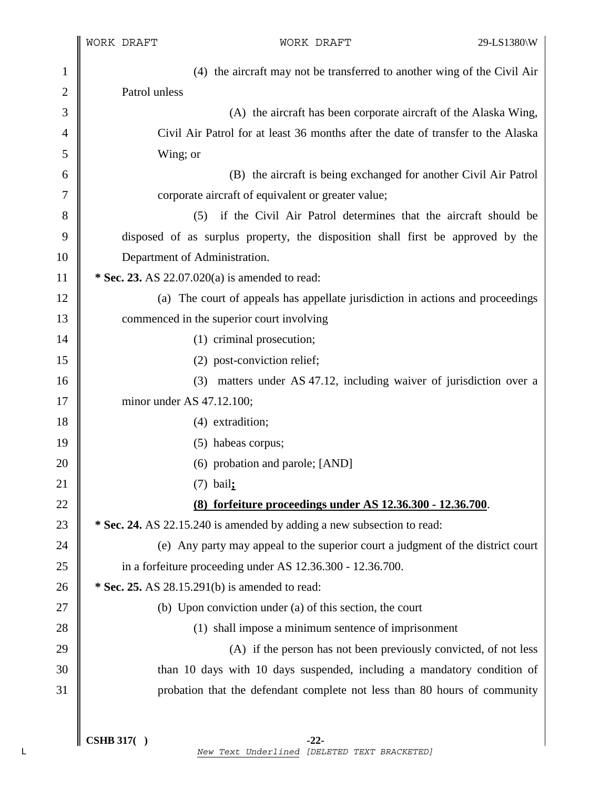$\mathbb{I}$ 

| 1              | (4) the aircraft may not be transferred to another wing of the Civil Air         |
|----------------|----------------------------------------------------------------------------------|
| $\overline{c}$ | Patrol unless                                                                    |
| 3              | (A) the aircraft has been corporate aircraft of the Alaska Wing,                 |
| $\overline{4}$ | Civil Air Patrol for at least 36 months after the date of transfer to the Alaska |
| 5              | Wing; or                                                                         |
| 6              | (B) the aircraft is being exchanged for another Civil Air Patrol                 |
| 7              | corporate aircraft of equivalent or greater value;                               |
| 8              | if the Civil Air Patrol determines that the aircraft should be<br>(5)            |
| 9              | disposed of as surplus property, the disposition shall first be approved by the  |
| 10             | Department of Administration.                                                    |
| 11             | * Sec. 23. AS 22.07.020(a) is amended to read:                                   |
| 12             | (a) The court of appeals has appellate jurisdiction in actions and proceedings   |
| 13             | commenced in the superior court involving                                        |
| 14             | (1) criminal prosecution;                                                        |
| 15             | (2) post-conviction relief;                                                      |
| 16             | matters under AS 47.12, including waiver of jurisdiction over a<br>(3)           |
| 17             | minor under AS 47.12.100;                                                        |
| 18             | (4) extradition;                                                                 |
| 19             | (5) habeas corpus;                                                               |
| 20             | (6) probation and parole; [AND]                                                  |
| 21             | $(7)$ bail;                                                                      |
| 22             | <u>(8) forfeiture proceedings under AS 12.36.300 - 12.36.700</u>                 |
| 23             | * Sec. 24. AS 22.15.240 is amended by adding a new subsection to read:           |
| 24             | (e) Any party may appeal to the superior court a judgment of the district court  |
| 25             | in a forfeiture proceeding under AS 12.36.300 - 12.36.700.                       |
| 26             | * Sec. 25. AS 28.15.291(b) is amended to read:                                   |
| 27             | (b) Upon conviction under (a) of this section, the court                         |
| 28             | (1) shall impose a minimum sentence of imprisonment                              |
| 29             | (A) if the person has not been previously convicted, of not less                 |
| 30             | than 10 days with 10 days suspended, including a mandatory condition of          |
| 31             | probation that the defendant complete not less than 80 hours of community        |
|                |                                                                                  |
|                |                                                                                  |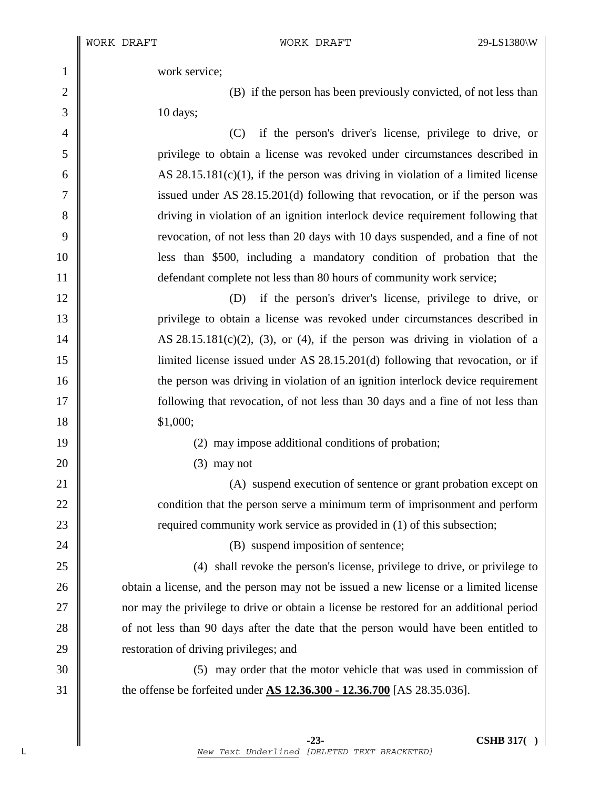1 work service;

2 (B) if the person has been previously convicted, of not less than 3 10 days;

4 (C) if the person's driver's license, privilege to drive, or 5 privilege to obtain a license was revoked under circumstances described in 6  $\parallel$  AS 28.15.181(c)(1), if the person was driving in violation of a limited license 7 issued under AS 28.15.201(d) following that revocation, or if the person was 8 driving in violation of an ignition interlock device requirement following that 9 revocation, of not less than 20 days with 10 days suspended, and a fine of not 10 less than \$500, including a mandatory condition of probation that the 11 **defendant complete not less than 80 hours of community work service;** 

12 (D) if the person's driver's license, privilege to drive, or 13 privilege to obtain a license was revoked under circumstances described in 14  $\parallel$  AS 28.15.181(c)(2), (3), or (4), if the person was driving in violation of a 15 limited license issued under AS 28.15.201(d) following that revocation, or if 16 the person was driving in violation of an ignition interlock device requirement 17 following that revocation, of not less than 30 days and a fine of not less than 18 \$1,000;

19 || (2) may impose additional conditions of probation;

 $20 \parallel$  (3) may not

21 (A) suspend execution of sentence or grant probation except on 22 \| 23 **Permitted 23** required community work service as provided in (1) of this subsection;

24 **(B)** suspend imposition of sentence;

25 (4) shall revoke the person's license, privilege to drive, or privilege to 26 **obtain** a license, and the person may not be issued a new license or a limited license 27 nor may the privilege to drive or obtain a license be restored for an additional period 28 of not less than 90 days after the date that the person would have been entitled to 29 **Calcular 29** restoration of driving privileges; and

30 (5) may order that the motor vehicle that was used in commission of 31 the offense be forfeited under **AS 12.36.300 - 12.36.700** [AS 28.35.036].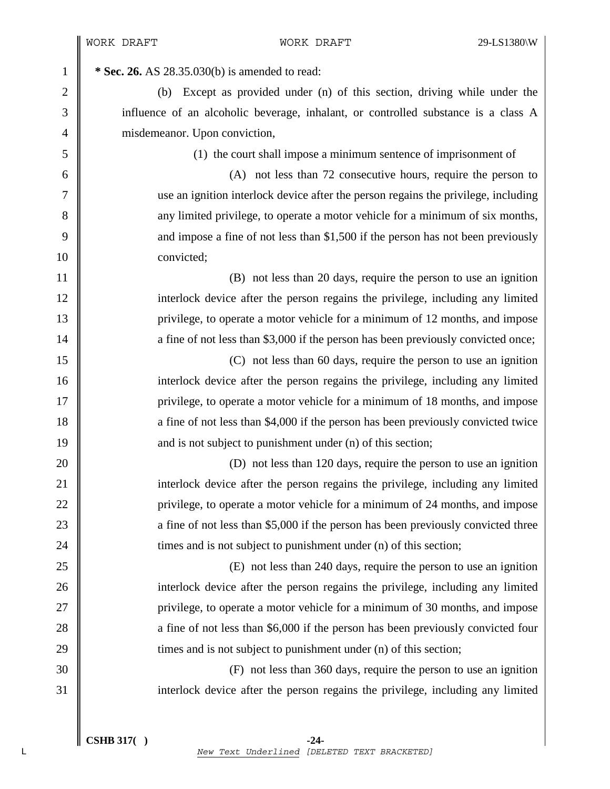**1 \*** Sec. 26. AS 28.35.030(b) is amended to read:

2 (b) Except as provided under (n) of this section, driving while under the 3 influence of an alcoholic beverage, inhalant, or controlled substance is a class A 4 misdemeanor. Upon conviction,

5 (1) the court shall impose a minimum sentence of imprisonment of

6 (A) not less than 72 consecutive hours, require the person to 7 use an ignition interlock device after the person regains the privilege, including 8 any limited privilege, to operate a motor vehicle for a minimum of six months, 9 and impose a fine of not less than \$1,500 if the person has not been previously 10 convicted;

11 || 12 interlock device after the person regains the privilege, including any limited 13 privilege, to operate a motor vehicle for a minimum of 12 months, and impose 14 a fine of not less than \$3,000 if the person has been previously convicted once;

15 (C) not less than 60 days, require the person to use an ignition 16 interlock device after the person regains the privilege, including any limited 17 privilege, to operate a motor vehicle for a minimum of 18 months, and impose 18 a fine of not less than \$4,000 if the person has been previously convicted twice 19  $\parallel$  and is not subject to punishment under (n) of this section;

20 (D) not less than 120 days, require the person to use an ignition 21 interlock device after the person regains the privilege, including any limited 22 | privilege, to operate a motor vehicle for a minimum of 24 months, and impose 23 a fine of not less than \$5,000 if the person has been previously convicted three 24  $\parallel$  times and is not subject to punishment under (n) of this section;

25 (E) not less than 240 days, require the person to use an ignition 26 interlock device after the person regains the privilege, including any limited 27 privilege, to operate a motor vehicle for a minimum of 30 months, and impose 28 **a** fine of not less than \$6,000 if the person has been previously convicted four  $29 \parallel$  times and is not subject to punishment under (n) of this section;

30 (F) not less than 360 days, require the person to use an ignition 31 interlock device after the person regains the privilege, including any limited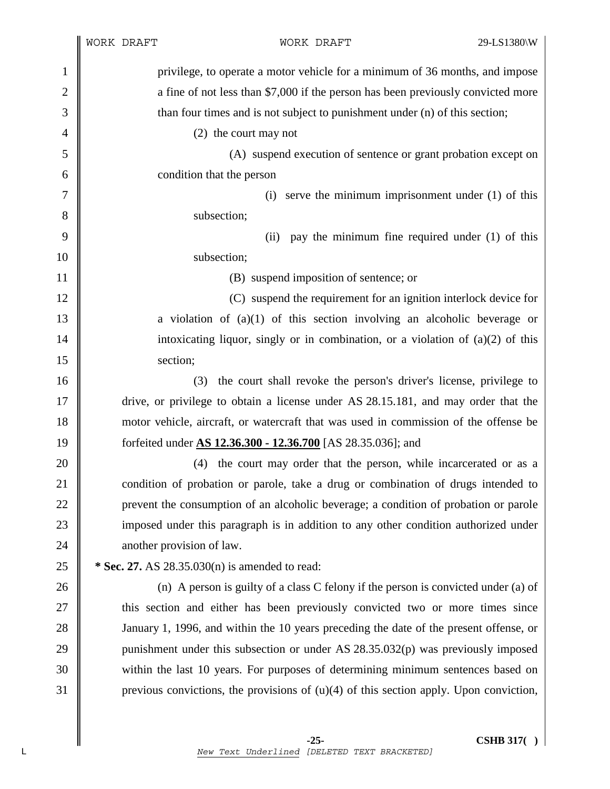|                | WORK DRAFT |                                                                                          | WORK DRAFT                                                                         | 29-LS1380\W |
|----------------|------------|------------------------------------------------------------------------------------------|------------------------------------------------------------------------------------|-------------|
| $\mathbf{1}$   |            |                                                                                          | privilege, to operate a motor vehicle for a minimum of 36 months, and impose       |             |
| $\overline{2}$ |            |                                                                                          | a fine of not less than \$7,000 if the person has been previously convicted more   |             |
| 3              |            |                                                                                          | than four times and is not subject to punishment under (n) of this section;        |             |
| 4              |            | (2) the court may not                                                                    |                                                                                    |             |
| 5              |            |                                                                                          | (A) suspend execution of sentence or grant probation except on                     |             |
| 6              |            | condition that the person                                                                |                                                                                    |             |
| 7              |            | (i)                                                                                      | serve the minimum imprisonment under $(1)$ of this                                 |             |
| 8              |            | subsection;                                                                              |                                                                                    |             |
| 9              |            | (ii)                                                                                     | pay the minimum fine required under $(1)$ of this                                  |             |
| 10             |            | subsection;                                                                              |                                                                                    |             |
| 11             |            |                                                                                          | (B) suspend imposition of sentence; or                                             |             |
| 12             |            |                                                                                          | (C) suspend the requirement for an ignition interlock device for                   |             |
| 13             |            |                                                                                          | a violation of $(a)(1)$ of this section involving an alcoholic beverage or         |             |
| 14             |            |                                                                                          | intoxicating liquor, singly or in combination, or a violation of $(a)(2)$ of this  |             |
| 15             |            | section;                                                                                 |                                                                                    |             |
| 16             |            | (3)                                                                                      | the court shall revoke the person's driver's license, privilege to                 |             |
| 17             |            | drive, or privilege to obtain a license under AS 28.15.181, and may order that the       |                                                                                    |             |
| 18             |            | motor vehicle, aircraft, or watercraft that was used in commission of the offense be     |                                                                                    |             |
| 19             |            | forfeited under <b>AS 12.36.300 - 12.36.700</b> [AS 28.35.036]; and                      |                                                                                    |             |
| 20             |            | (4)                                                                                      | the court may order that the person, while incarcerated or as a                    |             |
| 21             |            | condition of probation or parole, take a drug or combination of drugs intended to        |                                                                                    |             |
| 22             |            | prevent the consumption of an alcoholic beverage; a condition of probation or parole     |                                                                                    |             |
| 23             |            | imposed under this paragraph is in addition to any other condition authorized under      |                                                                                    |             |
| 24             |            | another provision of law.                                                                |                                                                                    |             |
| 25             |            | * Sec. 27. AS 28.35.030(n) is amended to read:                                           |                                                                                    |             |
| 26             |            |                                                                                          | (n) A person is guilty of a class C felony if the person is convicted under (a) of |             |
| 27             |            | this section and either has been previously convicted two or more times since            |                                                                                    |             |
| 28             |            | January 1, 1996, and within the 10 years preceding the date of the present offense, or   |                                                                                    |             |
| 29             |            | punishment under this subsection or under AS 28.35.032(p) was previously imposed         |                                                                                    |             |
| 30             |            | within the last 10 years. For purposes of determining minimum sentences based on         |                                                                                    |             |
| 31             |            | previous convictions, the provisions of $(u)(4)$ of this section apply. Upon conviction, |                                                                                    |             |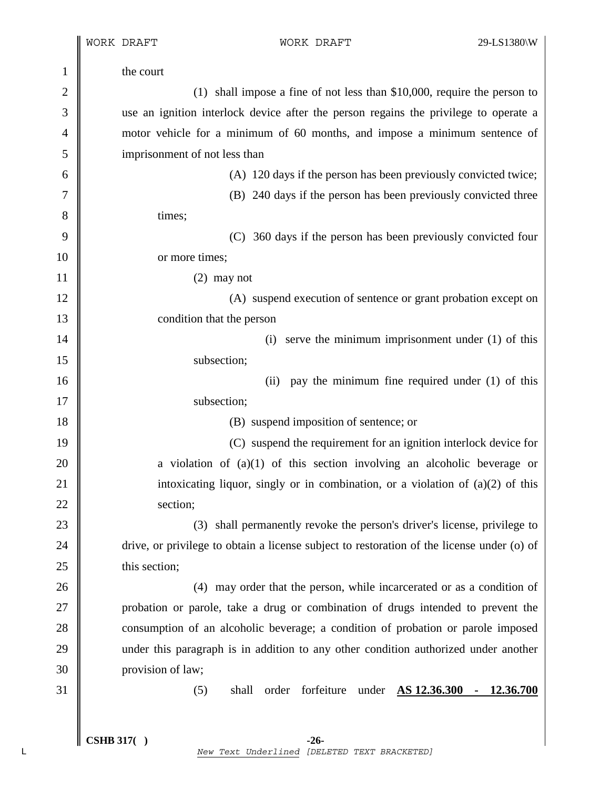$\mathbb I$  $\mathsf{l}$ 

| $\mathbf{1}$   | the court                                                                                  |  |  |  |  |
|----------------|--------------------------------------------------------------------------------------------|--|--|--|--|
| $\overline{2}$ | $(1)$ shall impose a fine of not less than \$10,000, require the person to                 |  |  |  |  |
| 3              | use an ignition interlock device after the person regains the privilege to operate a       |  |  |  |  |
| 4              | motor vehicle for a minimum of 60 months, and impose a minimum sentence of                 |  |  |  |  |
| 5              | imprisonment of not less than                                                              |  |  |  |  |
| 6              | (A) 120 days if the person has been previously convicted twice;                            |  |  |  |  |
| 7              | (B) 240 days if the person has been previously convicted three                             |  |  |  |  |
| 8              | times;                                                                                     |  |  |  |  |
| 9              | (C) 360 days if the person has been previously convicted four                              |  |  |  |  |
| 10             | or more times;                                                                             |  |  |  |  |
| 11             | $(2)$ may not                                                                              |  |  |  |  |
| 12             | (A) suspend execution of sentence or grant probation except on                             |  |  |  |  |
| 13             | condition that the person                                                                  |  |  |  |  |
| 14             | serve the minimum imprisonment under $(1)$ of this<br>(i)                                  |  |  |  |  |
| 15             | subsection;                                                                                |  |  |  |  |
| 16             | pay the minimum fine required under (1) of this<br>(ii)                                    |  |  |  |  |
| 17             | subsection;                                                                                |  |  |  |  |
| 18             | (B) suspend imposition of sentence; or                                                     |  |  |  |  |
| 19             | (C) suspend the requirement for an ignition interlock device for                           |  |  |  |  |
| 20             | a violation of $(a)(1)$ of this section involving an alcoholic beverage or                 |  |  |  |  |
| 21             | intoxicating liquor, singly or in combination, or a violation of $(a)(2)$ of this          |  |  |  |  |
| 22             | section:                                                                                   |  |  |  |  |
| 23             | (3) shall permanently revoke the person's driver's license, privilege to                   |  |  |  |  |
| 24             | drive, or privilege to obtain a license subject to restoration of the license under (o) of |  |  |  |  |
| 25             | this section;                                                                              |  |  |  |  |
| 26             | (4) may order that the person, while incarcerated or as a condition of                     |  |  |  |  |
| 27             | probation or parole, take a drug or combination of drugs intended to prevent the           |  |  |  |  |
| 28             | consumption of an alcoholic beverage; a condition of probation or parole imposed           |  |  |  |  |
| 29             | under this paragraph is in addition to any other condition authorized under another        |  |  |  |  |
| 30             | provision of law;                                                                          |  |  |  |  |
| 31             | shall<br>forfeiture<br>under AS 12.36.300<br>12.36.700<br>(5)<br>order<br>$\blacksquare$   |  |  |  |  |
|                |                                                                                            |  |  |  |  |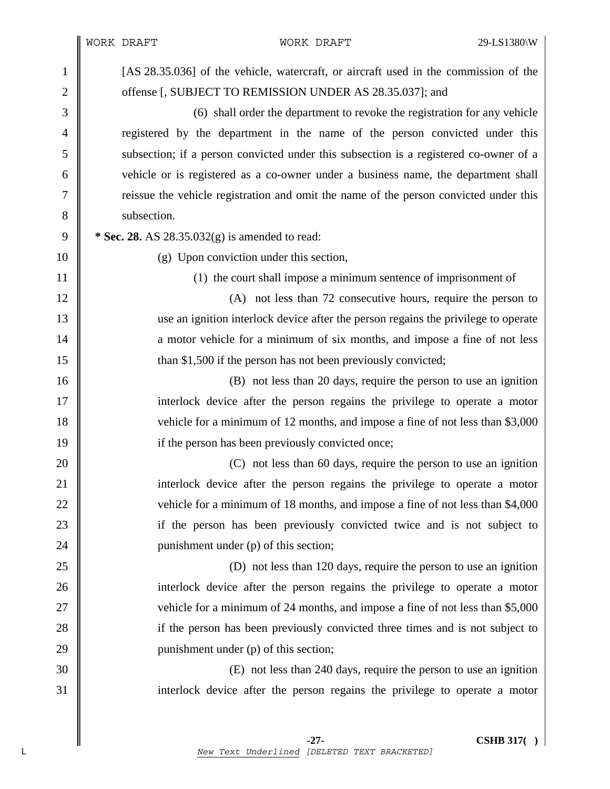|                | WORK DRAFT                                                                     | WORK DRAFT                                                                            | 29-LS1380\W |  |  |
|----------------|--------------------------------------------------------------------------------|---------------------------------------------------------------------------------------|-------------|--|--|
| $\mathbf{1}$   |                                                                                | [AS 28.35.036] of the vehicle, watercraft, or aircraft used in the commission of the  |             |  |  |
| $\overline{2}$ | offense [, SUBJECT TO REMISSION UNDER AS 28.35.037]; and                       |                                                                                       |             |  |  |
| 3              |                                                                                | (6) shall order the department to revoke the registration for any vehicle             |             |  |  |
| $\overline{4}$ |                                                                                | registered by the department in the name of the person convicted under this           |             |  |  |
| 5              |                                                                                | subsection; if a person convicted under this subsection is a registered co-owner of a |             |  |  |
| 6              |                                                                                | vehicle or is registered as a co-owner under a business name, the department shall    |             |  |  |
| 7              |                                                                                | reissue the vehicle registration and omit the name of the person convicted under this |             |  |  |
| 8              | subsection.                                                                    |                                                                                       |             |  |  |
| 9              |                                                                                | * Sec. 28. AS $28.35.032(g)$ is amended to read:                                      |             |  |  |
| 10             |                                                                                | (g) Upon conviction under this section,                                               |             |  |  |
| 11             |                                                                                | (1) the court shall impose a minimum sentence of imprisonment of                      |             |  |  |
| 12             |                                                                                | (A) not less than 72 consecutive hours, require the person to                         |             |  |  |
| 13             |                                                                                | use an ignition interlock device after the person regains the privilege to operate    |             |  |  |
| 14             |                                                                                | a motor vehicle for a minimum of six months, and impose a fine of not less            |             |  |  |
| 15             |                                                                                | than \$1,500 if the person has not been previously convicted;                         |             |  |  |
| 16             | (B) not less than 20 days, require the person to use an ignition               |                                                                                       |             |  |  |
| 17             | interlock device after the person regains the privilege to operate a motor     |                                                                                       |             |  |  |
| 18             | vehicle for a minimum of 12 months, and impose a fine of not less than \$3,000 |                                                                                       |             |  |  |
| 19             |                                                                                | if the person has been previously convicted once;                                     |             |  |  |
| 20             | (C) not less than 60 days, require the person to use an ignition               |                                                                                       |             |  |  |
| 21             | interlock device after the person regains the privilege to operate a motor     |                                                                                       |             |  |  |
| $22\,$         |                                                                                | vehicle for a minimum of 18 months, and impose a fine of not less than \$4,000        |             |  |  |
| 23             |                                                                                | if the person has been previously convicted twice and is not subject to               |             |  |  |
| 24             |                                                                                | punishment under (p) of this section;                                                 |             |  |  |
| 25             | (D) not less than 120 days, require the person to use an ignition              |                                                                                       |             |  |  |
| 26             |                                                                                | interlock device after the person regains the privilege to operate a motor            |             |  |  |
| 27             |                                                                                | vehicle for a minimum of 24 months, and impose a fine of not less than \$5,000        |             |  |  |
| 28             |                                                                                | if the person has been previously convicted three times and is not subject to         |             |  |  |
| 29             |                                                                                | punishment under (p) of this section;                                                 |             |  |  |
| 30             |                                                                                | (E) not less than 240 days, require the person to use an ignition                     |             |  |  |
| 31             |                                                                                | interlock device after the person regains the privilege to operate a motor            |             |  |  |
|                |                                                                                |                                                                                       |             |  |  |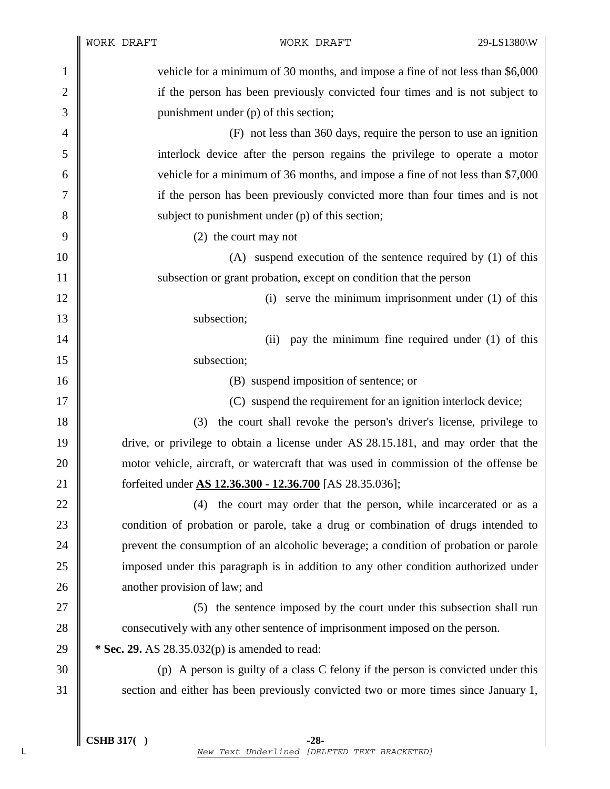|              | WORK DRAFT                    | WORK DRAFT                                                                           | 29-LS1380\W                                            |
|--------------|-------------------------------|--------------------------------------------------------------------------------------|--------------------------------------------------------|
| $\mathbf{1}$ |                               | vehicle for a minimum of 30 months, and impose a fine of not less than \$6,000       |                                                        |
| $\mathbf{2}$ |                               | if the person has been previously convicted four times and is not subject to         |                                                        |
| 3            |                               | punishment under (p) of this section;                                                |                                                        |
| 4            |                               | (F) not less than 360 days, require the person to use an ignition                    |                                                        |
| 5            |                               | interlock device after the person regains the privilege to operate a motor           |                                                        |
| 6            |                               | vehicle for a minimum of 36 months, and impose a fine of not less than \$7,000       |                                                        |
| 7            |                               | if the person has been previously convicted more than four times and is not          |                                                        |
| 8            |                               | subject to punishment under (p) of this section;                                     |                                                        |
| 9            |                               | (2) the court may not                                                                |                                                        |
| 10           |                               | (A) suspend execution of the sentence required by (1) of this                        |                                                        |
| 11           |                               | subsection or grant probation, except on condition that the person                   |                                                        |
| 12           |                               |                                                                                      | (i) serve the minimum imprisonment under $(1)$ of this |
| 13           |                               | subsection;                                                                          |                                                        |
| 14           |                               | (ii)                                                                                 | pay the minimum fine required under (1) of this        |
| 15           |                               | subsection;                                                                          |                                                        |
| 16           |                               | (B) suspend imposition of sentence; or                                               |                                                        |
| 17           |                               | (C) suspend the requirement for an ignition interlock device;                        |                                                        |
| 18           | (3)                           | the court shall revoke the person's driver's license, privilege to                   |                                                        |
| 19           |                               | drive, or privilege to obtain a license under AS 28.15.181, and may order that the   |                                                        |
| 20           |                               | motor vehicle, aircraft, or watercraft that was used in commission of the offense be |                                                        |
| 21           |                               | forfeited under AS 12.36.300 - 12.36.700 [AS 28.35.036];                             |                                                        |
| 22           | (4)                           | the court may order that the person, while incarcerated or as a                      |                                                        |
| 23           |                               | condition of probation or parole, take a drug or combination of drugs intended to    |                                                        |
| 24           |                               | prevent the consumption of an alcoholic beverage; a condition of probation or parole |                                                        |
| 25           |                               | imposed under this paragraph is in addition to any other condition authorized under  |                                                        |
| 26           | another provision of law; and |                                                                                      |                                                        |
| 27           |                               | (5) the sentence imposed by the court under this subsection shall run                |                                                        |
| 28           |                               | consecutively with any other sentence of imprisonment imposed on the person.         |                                                        |
| 29           |                               | * Sec. 29. AS 28.35.032(p) is amended to read:                                       |                                                        |
| 30           |                               | (p) A person is guilty of a class C felony if the person is convicted under this     |                                                        |
| 31           |                               | section and either has been previously convicted two or more times since January 1,  |                                                        |
|              |                               |                                                                                      |                                                        |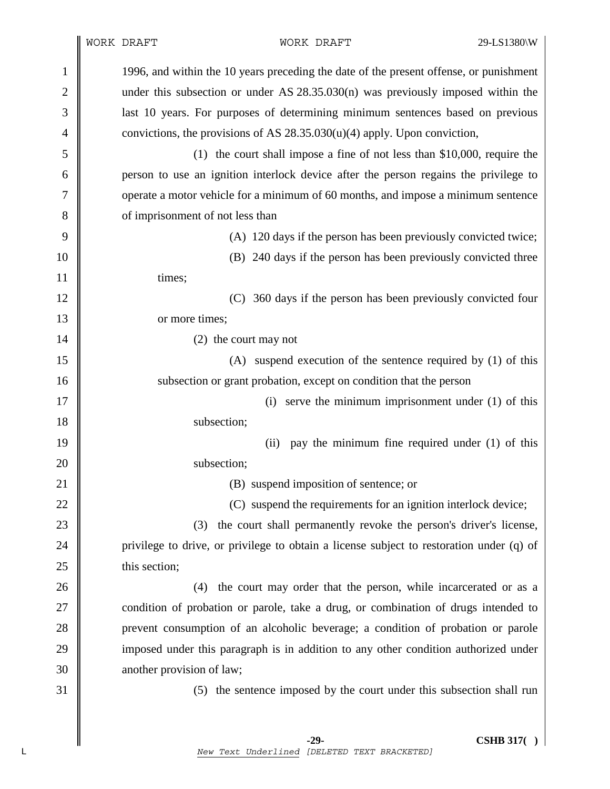|                |                                                                                    | WORK DRAFT                                                                               | WORK DRAFT                                                               | 29-LS1380\W |  |
|----------------|------------------------------------------------------------------------------------|------------------------------------------------------------------------------------------|--------------------------------------------------------------------------|-------------|--|
| 1              |                                                                                    | 1996, and within the 10 years preceding the date of the present offense, or punishment   |                                                                          |             |  |
| $\overline{2}$ | under this subsection or under AS $28.35.030(n)$ was previously imposed within the |                                                                                          |                                                                          |             |  |
| 3              |                                                                                    | last 10 years. For purposes of determining minimum sentences based on previous           |                                                                          |             |  |
| 4              |                                                                                    | convictions, the provisions of AS $28.35.030(u)(4)$ apply. Upon conviction,              |                                                                          |             |  |
| 5              |                                                                                    |                                                                                          | (1) the court shall impose a fine of not less than \$10,000, require the |             |  |
| 6              |                                                                                    | person to use an ignition interlock device after the person regains the privilege to     |                                                                          |             |  |
| 7              |                                                                                    | operate a motor vehicle for a minimum of 60 months, and impose a minimum sentence        |                                                                          |             |  |
| 8              |                                                                                    | of imprisonment of not less than                                                         |                                                                          |             |  |
| 9              |                                                                                    |                                                                                          | (A) 120 days if the person has been previously convicted twice;          |             |  |
| 10             |                                                                                    | (B) 240 days if the person has been previously convicted three                           |                                                                          |             |  |
| 11             |                                                                                    | times;                                                                                   |                                                                          |             |  |
| 12             |                                                                                    |                                                                                          | (C) 360 days if the person has been previously convicted four            |             |  |
| 13             | or more times;                                                                     |                                                                                          |                                                                          |             |  |
| 14             |                                                                                    | (2) the court may not                                                                    |                                                                          |             |  |
| 15             |                                                                                    |                                                                                          | (A) suspend execution of the sentence required by (1) of this            |             |  |
| 16             |                                                                                    |                                                                                          | subsection or grant probation, except on condition that the person       |             |  |
| 17             |                                                                                    |                                                                                          | (i) serve the minimum imprisonment under $(1)$ of this                   |             |  |
| 18             |                                                                                    | subsection;                                                                              |                                                                          |             |  |
| 19             |                                                                                    | (ii)                                                                                     | pay the minimum fine required under (1) of this                          |             |  |
| 20             |                                                                                    | subsection;                                                                              |                                                                          |             |  |
| 21             |                                                                                    |                                                                                          | (B) suspend imposition of sentence; or                                   |             |  |
| 22             |                                                                                    |                                                                                          | (C) suspend the requirements for an ignition interlock device;           |             |  |
| 23             |                                                                                    | (3)                                                                                      | the court shall permanently revoke the person's driver's license,        |             |  |
| 24             |                                                                                    | privilege to drive, or privilege to obtain a license subject to restoration under (q) of |                                                                          |             |  |
| 25             |                                                                                    | this section;                                                                            |                                                                          |             |  |
| 26             |                                                                                    | (4)                                                                                      | the court may order that the person, while incarcerated or as a          |             |  |
| 27             |                                                                                    | condition of probation or parole, take a drug, or combination of drugs intended to       |                                                                          |             |  |
| 28             |                                                                                    | prevent consumption of an alcoholic beverage; a condition of probation or parole         |                                                                          |             |  |
| 29             |                                                                                    | imposed under this paragraph is in addition to any other condition authorized under      |                                                                          |             |  |
| 30             |                                                                                    | another provision of law;                                                                |                                                                          |             |  |
| 31             |                                                                                    |                                                                                          | (5) the sentence imposed by the court under this subsection shall run    |             |  |
|                |                                                                                    |                                                                                          |                                                                          |             |  |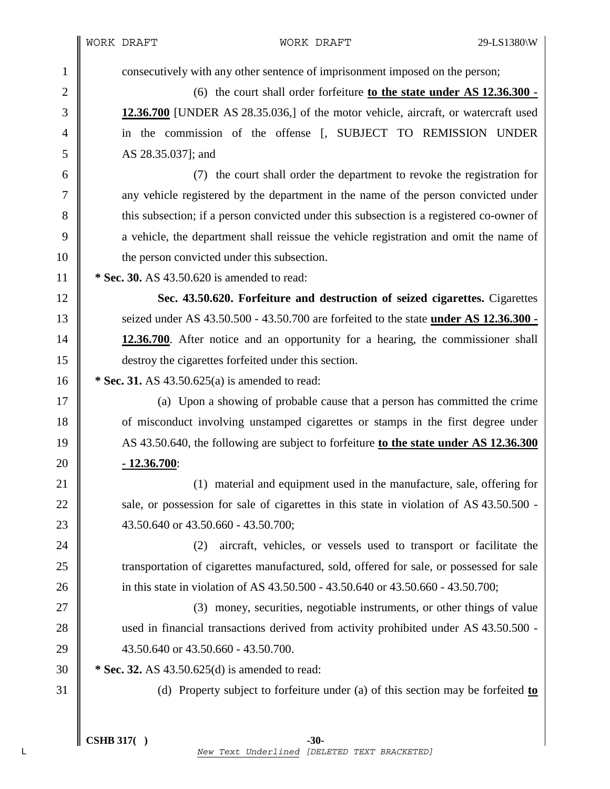WORK DRAFT WORK DRAFT 29-LS1380\W 1 consecutively with any other sentence of imprisonment imposed on the person; 2 (6) the court shall order forfeiture **to the state under AS 12.36.300 -**  3 **12.36.700** [UNDER AS 28.35.036,] of the motor vehicle, aircraft, or watercraft used 4 in the commission of the offense [, SUBJECT TO REMISSION UNDER 5 AS 28.35.037; and 6 (7) the court shall order the department to revoke the registration for 7 any vehicle registered by the department in the name of the person convicted under 8 this subsection; if a person convicted under this subsection is a registered co-owner of 9 a vehicle, the department shall reissue the vehicle registration and omit the name of 10 **the person convicted under this subsection.** 11 **\* Sec. 30.** AS 43.50.620 is amended to read: 12 **Sec. 43.50.620. Forfeiture and destruction of seized cigarettes.** Cigarettes 13 seized under AS 43.50.500 - 43.50.700 are forfeited to the state **under AS 12.36.300 -**  14 **12.36.700**. After notice and an opportunity for a hearing, the commissioner shall 15 destroy the cigarettes forfeited under this section. 16 **\*** Sec. 31. AS 43.50.625(a) is amended to read: 17 (a) Upon a showing of probable cause that a person has committed the crime 18 of misconduct involving unstamped cigarettes or stamps in the first degree under 19 AS 43.50.640, the following are subject to forfeiture **to the state under AS 12.36.300**  20 **- 12.36.700**: 21 **(1)** material and equipment used in the manufacture, sale, offering for 22  $\parallel$  sale, or possession for sale of cigarettes in this state in violation of AS 43.50.500 -

23 43.50.640 or 43.50.660 - 43.50.700;

24 (2) aircraft, vehicles, or vessels used to transport or facilitate the 25 Transportation of cigarettes manufactured, sold, offered for sale, or possessed for sale 26 in this state in violation of AS 43.50.500 - 43.50.640 or 43.50.660 - 43.50.700;

27 (3) money, securities, negotiable instruments, or other things of value 28 used in financial transactions derived from activity prohibited under AS 43.50.500 -29 43.50.640 or 43.50.660 - 43.50.700.

30 **\* Sec. 32.** AS 43.50.625(d) is amended to read:

31 (d) Property subject to forfeiture under (a) of this section may be forfeited **to**